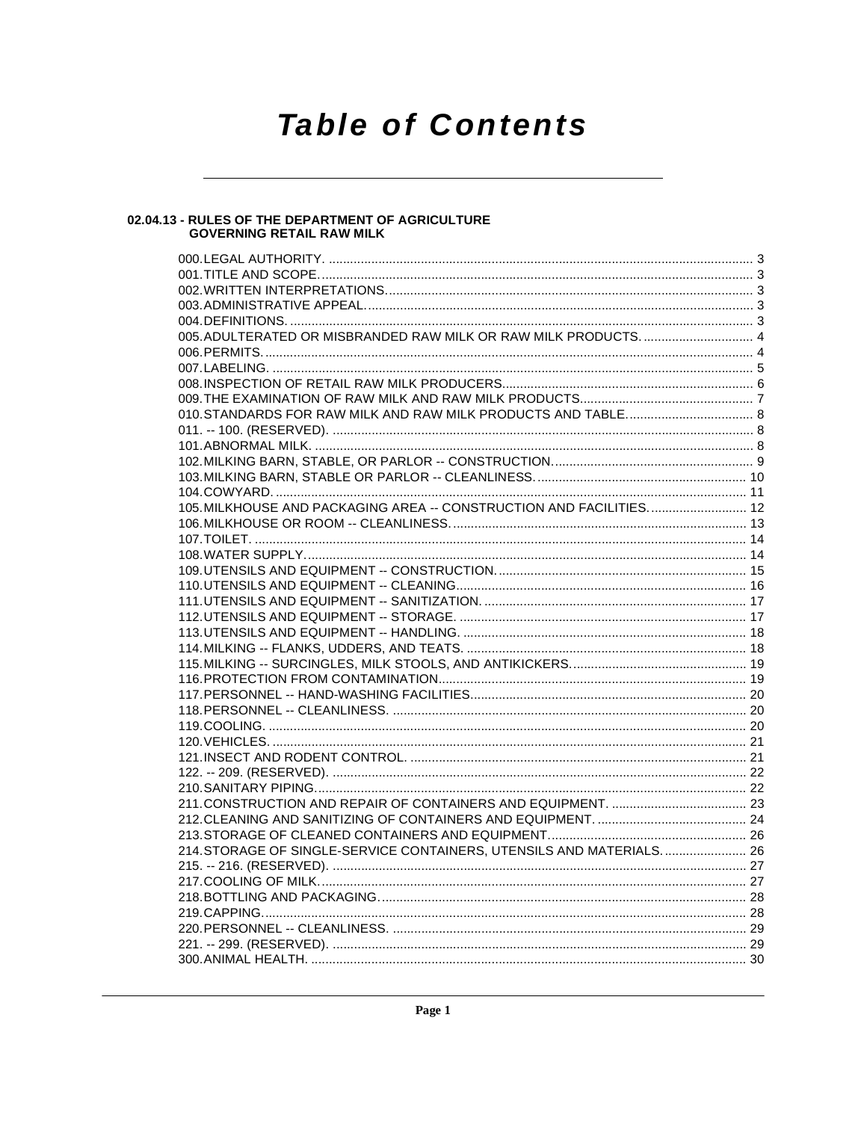# **Table of Contents**

# 02.04.13 - RULES OF THE DEPARTMENT OF AGRICULTURE<br>GOVERNING RETAIL RAW MILK

| 105. MILKHOUSE AND PACKAGING AREA -- CONSTRUCTION AND FACILITIES.  12  |  |
|------------------------------------------------------------------------|--|
|                                                                        |  |
|                                                                        |  |
|                                                                        |  |
|                                                                        |  |
|                                                                        |  |
|                                                                        |  |
|                                                                        |  |
|                                                                        |  |
|                                                                        |  |
|                                                                        |  |
|                                                                        |  |
|                                                                        |  |
|                                                                        |  |
|                                                                        |  |
|                                                                        |  |
|                                                                        |  |
|                                                                        |  |
|                                                                        |  |
|                                                                        |  |
|                                                                        |  |
|                                                                        |  |
| 214. STORAGE OF SINGLE-SERVICE CONTAINERS, UTENSILS AND MATERIALS.  26 |  |
|                                                                        |  |
|                                                                        |  |
|                                                                        |  |
|                                                                        |  |
|                                                                        |  |
|                                                                        |  |
|                                                                        |  |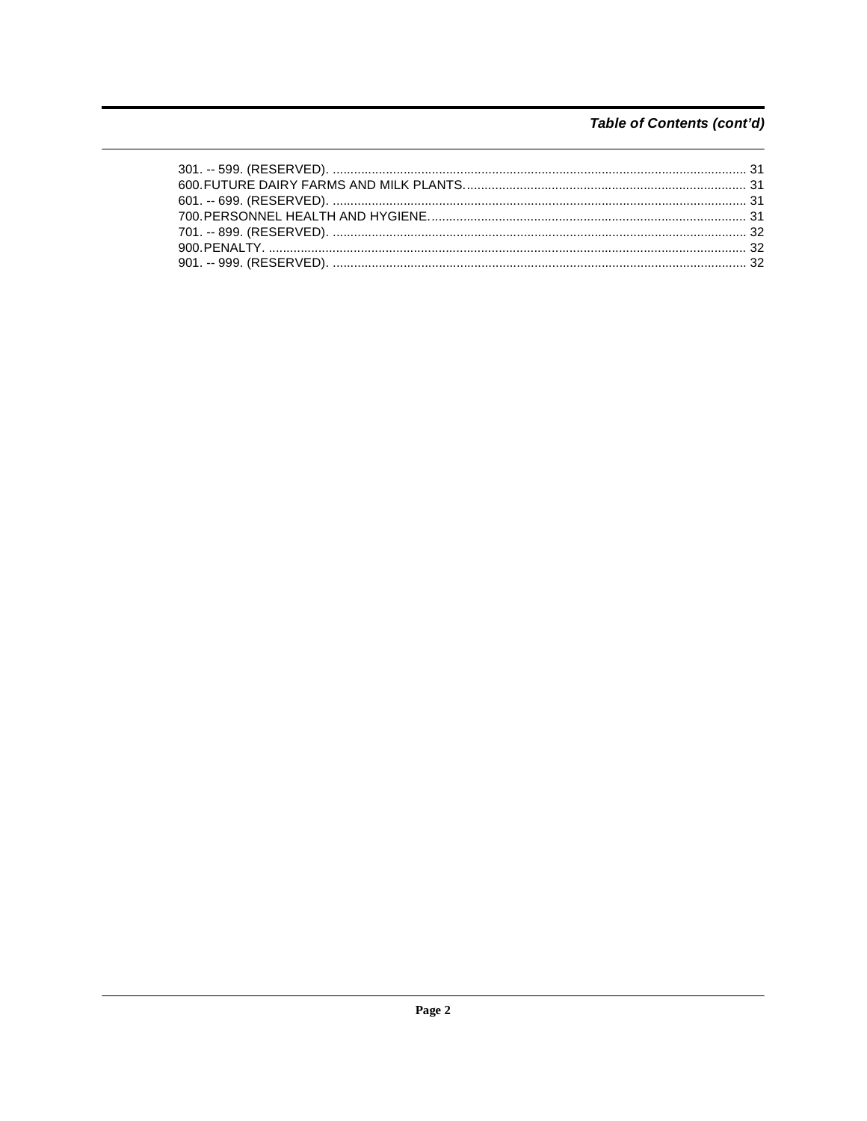## Table of Contents (cont'd)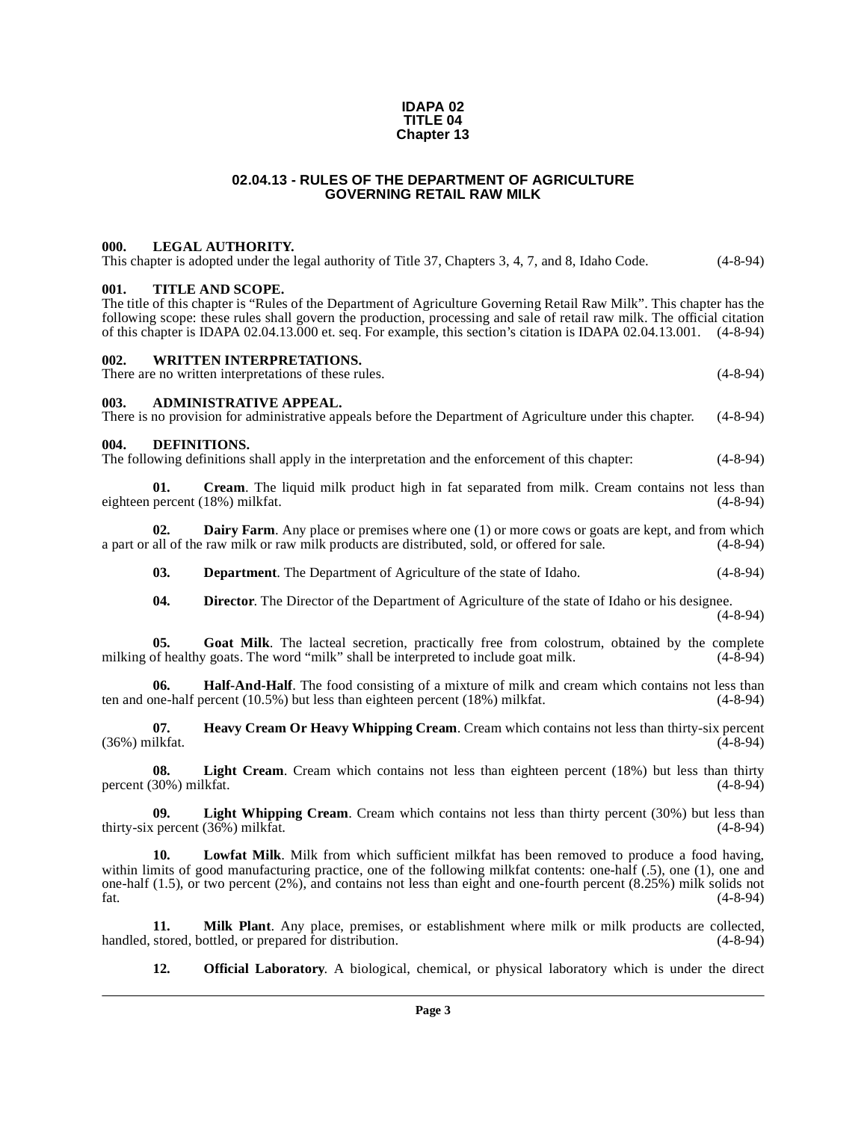#### **IDAPA 02 TITLE 04 Chapter 13**

#### **02.04.13 - RULES OF THE DEPARTMENT OF AGRICULTURE GOVERNING RETAIL RAW MILK**

#### <span id="page-2-1"></span><span id="page-2-0"></span>**000. LEGAL AUTHORITY.**

This chapter is adopted under the legal authority of Title 37, Chapters 3, 4, 7, and 8, Idaho Code. (4-8-94)

#### <span id="page-2-2"></span>**001. TITLE AND SCOPE.**

The title of this chapter is "Rules of the Department of Agriculture Governing Retail Raw Milk". This chapter has the following scope: these rules shall govern the production, processing and sale of retail raw milk. The official citation of this chapter is IDAPA 02.04.13.000 et. seq. For example, this section's citation is IDAPA 02.04.13.001. (4-8-94)

#### <span id="page-2-3"></span>**002. WRITTEN INTERPRETATIONS.**

There are no written interpretations of these rules. (4-8-94)

<span id="page-2-4"></span>**003. ADMINISTRATIVE APPEAL.**

There is no provision for administrative appeals before the Department of Agriculture under this chapter. (4-8-94)

#### <span id="page-2-8"></span><span id="page-2-5"></span>**004. DEFINITIONS.**

The following definitions shall apply in the interpretation and the enforcement of this chapter: (4-8-94)

<span id="page-2-6"></span>**01.** Cream. The liquid milk product high in fat separated from milk. Cream contains not less than percent (18%) milkfat. (4-8-94) eighteen percent (18%) milkfat.

**02. Dairy Farm**. Any place or premises where one (1) or more cows or goats are kept, and from which a part or all of the raw milk or raw milk products are distributed, sold, or offered for sale. (4-8-94)

<span id="page-2-9"></span><span id="page-2-7"></span>**03. Department**. The Department of Agriculture of the state of Idaho. (4-8-94)

<span id="page-2-12"></span><span id="page-2-11"></span><span id="page-2-10"></span>**04. Director.** The Director of the Department of Agriculture of the state of Idaho or his designee.

(4-8-94)

**05.** Goat Milk. The lacteal secretion, practically free from colostrum, obtained by the complete of healthy goats. The word "milk" shall be interpreted to include goat milk. (4-8-94) milking of healthy goats. The word "milk" shall be interpreted to include goat milk.

**06. Half-And-Half**. The food consisting of a mixture of milk and cream which contains not less than phe-half percent (10.5%) but less than eighteen percent (18%) milkfat. (4-8-94) ten and one-half percent  $(10.5%)$  but less than eighteen percent  $(18%)$  milkfat.

<span id="page-2-13"></span>**07. Heavy Cream Or Heavy Whipping Cream**. Cream which contains not less than thirty-six percent (36%) milkfat. (4-8-94)

<span id="page-2-14"></span>**08.** Light Cream. Cream which contains not less than eighteen percent (18%) but less than thirty 30%) milkfat. (4-8-94) percent (30%) milkfat.

<span id="page-2-15"></span>**09.** Light Whipping Cream. Cream which contains not less than thirty percent (30%) but less than the specent (36%) milkfat. thirty-six percent  $(36%)$  milkfat.

<span id="page-2-16"></span>**10. Lowfat Milk**. Milk from which sufficient milkfat has been removed to produce a food having, within limits of good manufacturing practice, one of the following milkfat contents: one-half (.5), one (1), one and one-half (1.5), or two percent (2%), and contains not less than eight and one-fourth percent (8.25%) milk solids not fat. (4-8-94)

**11. Milk Plant**. Any place, premises, or establishment where milk or milk products are collected, handled, stored, bottled, or prepared for distribution. (4-8-94)

<span id="page-2-18"></span><span id="page-2-17"></span>12. **Official Laboratory**. A biological, chemical, or physical laboratory which is under the direct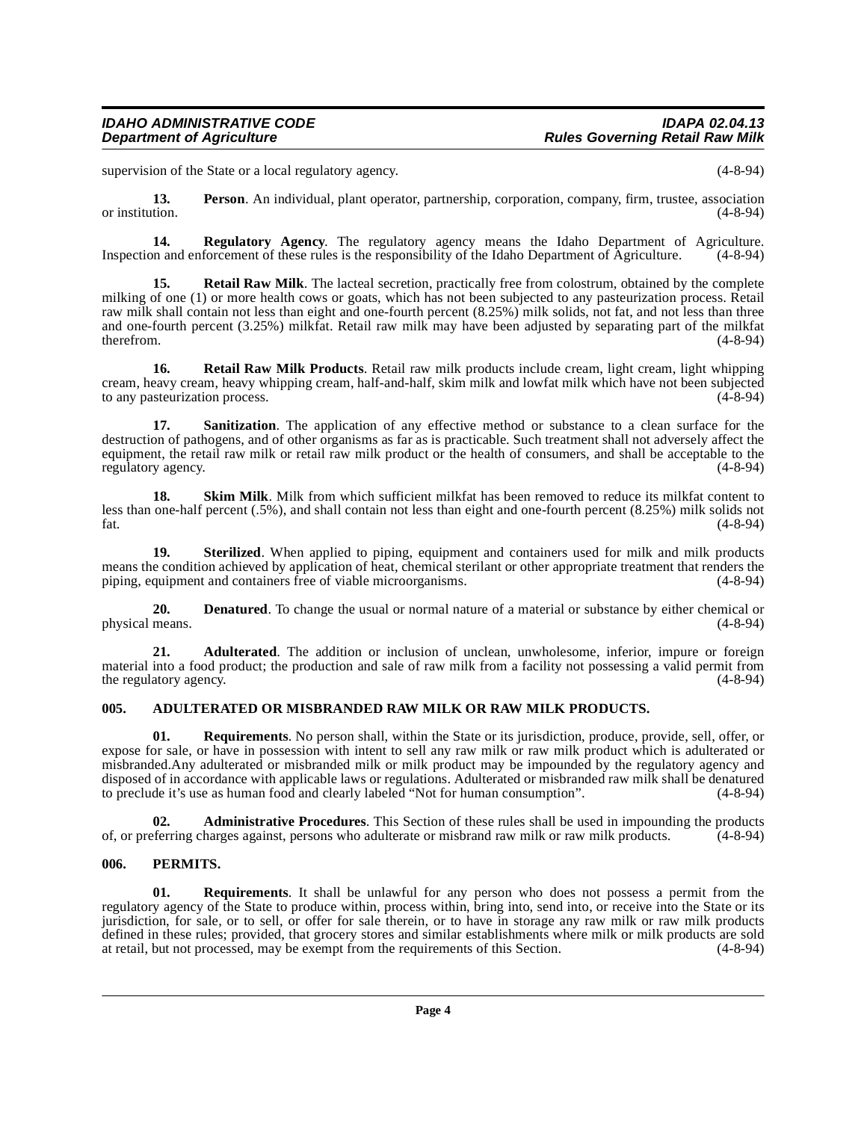supervision of the State or a local regulatory agency. (4-8-94)

<span id="page-3-6"></span>**13. Person**. An individual, plant operator, partnership, corporation, company, firm, trustee, association or institution. or institution. (4-8-94)

<span id="page-3-7"></span>**14. Regulatory Agency.** The regulatory agency means the Idaho Department of Agriculture. (4-8-94) n and enforcement of these rules is the responsibility of the Idaho Department of Agriculture. (4-8-94) Inspection and enforcement of these rules is the responsibility of the Idaho Department of Agriculture.

**15. Retail Raw Milk**. The lacteal secretion, practically free from colostrum, obtained by the complete milking of one (1) or more health cows or goats, which has not been subjected to any pasteurization process. Retail raw milk shall contain not less than eight and one-fourth percent  $(8.25%)$  milk solids, not fat, and not less than three and one-fourth percent (3.25%) milkfat. Retail raw milk may have been adjusted by separating part of the milkfat therefrom.  $(4-8-94)$ 

<span id="page-3-8"></span>**16.** Retail Raw Milk Products. Retail raw milk products include cream, light cream, light whipping cream, heavy cream, heavy whipping cream, half-and-half, skim milk and lowfat milk which have not been subjected to any pasteurization process.

<span id="page-3-9"></span>**17. Sanitization**. The application of any effective method or substance to a clean surface for the destruction of pathogens, and of other organisms as far as is practicable. Such treatment shall not adversely affect the equipment, the retail raw milk or retail raw milk product or the health of consumers, and shall be acceptable to the regulatory agency. regulatory agency.

<span id="page-3-10"></span>**18.** Skim Milk. Milk from which sufficient milkfat has been removed to reduce its milkfat content to less than one-half percent (.5%), and shall contain not less than eight and one-fourth percent (8.25%) milk solids not fat. (4-8-94)

<span id="page-3-11"></span>**19. Sterilized**. When applied to piping, equipment and containers used for milk and milk products means the condition achieved by application of heat, chemical sterilant or other appropriate treatment that renders the piping, equipment and containers free of viable microorganisms. (4-8-94) piping, equipment and containers free of viable microorganisms.

<span id="page-3-4"></span>**20. Denatured**. To change the usual or normal nature of a material or substance by either chemical or means.  $(4-8-94)$ physical means.

<span id="page-3-2"></span>**21. Adulterated**. The addition or inclusion of unclean, unwholesome, inferior, impure or foreign material into a food product; the production and sale of raw milk from a facility not possessing a valid permit from<br>(4-8-94) (4-8-94) the regulatory agency.

#### <span id="page-3-3"></span><span id="page-3-0"></span>**005. ADULTERATED OR MISBRANDED RAW MILK OR RAW MILK PRODUCTS.**

**01. Requirements**. No person shall, within the State or its jurisdiction, produce, provide, sell, offer, or expose for sale, or have in possession with intent to sell any raw milk or raw milk product which is adulterated or misbranded.Any adulterated or misbranded milk or milk product may be impounded by the regulatory agency and disposed of in accordance with applicable laws or regulations. Adulterated or misbranded raw milk shall be denatured<br>to preclude it's use as human food and clearly labeled "Not for human consumption". (4-8-94) to preclude it's use as human food and clearly labeled "Not for human consumption".

**02. Administrative Procedures**. This Section of these rules shall be used in impounding the products of, or preferring charges against, persons who adulterate or misbrand raw milk or raw milk products. (4-8-94)

#### <span id="page-3-5"></span><span id="page-3-1"></span>**006. PERMITS.**

**01. Requirements**. It shall be unlawful for any person who does not possess a permit from the regulatory agency of the State to produce within, process within, bring into, send into, or receive into the State or its jurisdiction, for sale, or to sell, or offer for sale therein, or to have in storage any raw milk or raw milk products defined in these rules; provided, that grocery stores and similar establishments where milk or milk products are sold at retail, but not processed, may be exempt from the requirements of this Section. (4-8-94) at retail, but not processed, may be exempt from the requirements of this Section.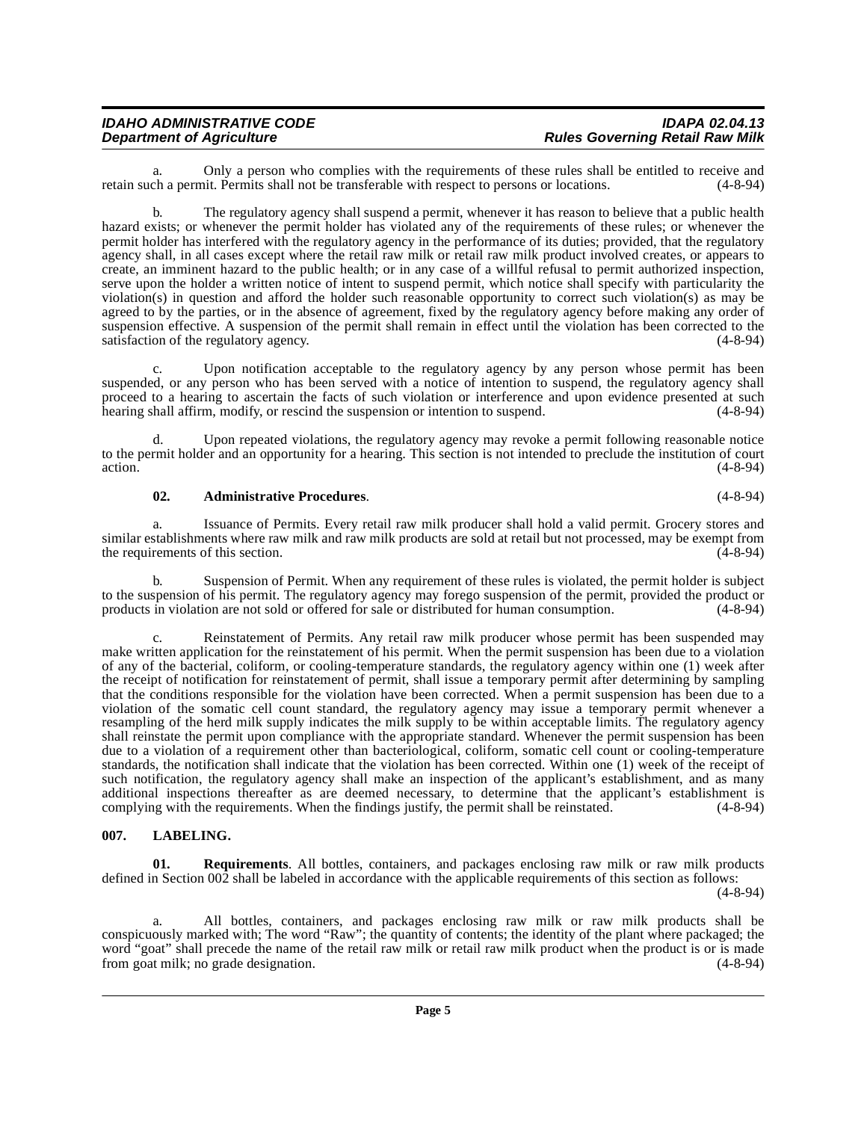a. Only a person who complies with the requirements of these rules shall be entitled to receive and changer and the transferable with respect to persons or locations. (4-8-94) retain such a permit. Permits shall not be transferable with respect to persons or locations.

b. The regulatory agency shall suspend a permit, whenever it has reason to believe that a public health hazard exists; or whenever the permit holder has violated any of the requirements of these rules; or whenever the permit holder has interfered with the regulatory agency in the performance of its duties; provided, that the regulatory agency shall, in all cases except where the retail raw milk or retail raw milk product involved creates, or appears to create, an imminent hazard to the public health; or in any case of a willful refusal to permit authorized inspection, serve upon the holder a written notice of intent to suspend permit, which notice shall specify with particularity the violation(s) in question and afford the holder such reasonable opportunity to correct such violation(s) as may be agreed to by the parties, or in the absence of agreement, fixed by the regulatory agency before making any order of suspension effective. A suspension of the permit shall remain in effect until the violation has been corrected to the satisfaction of the regulatory agency. (4-8-94) satisfaction of the regulatory agency.

c. Upon notification acceptable to the regulatory agency by any person whose permit has been suspended, or any person who has been served with a notice of intention to suspend, the regulatory agency shall proceed to a hearing to ascertain the facts of such violation or interference and upon evidence presented at such hearing shall affirm, modify, or rescind the suspension or intention to suspend. (4-8-94) hearing shall affirm, modify, or rescind the suspension or intention to suspend.

d. Upon repeated violations, the regulatory agency may revoke a permit following reasonable notice to the permit holder and an opportunity for a hearing. This section is not intended to preclude the institution of court action. (4-8-94)  $(4-8-94)$ 

#### **02. Administrative Procedures**. (4-8-94)

a. Issuance of Permits. Every retail raw milk producer shall hold a valid permit. Grocery stores and similar establishments where raw milk and raw milk products are sold at retail but not processed, may be exempt from<br>(4-8-94) (4-8-94) the requirements of this section.

b. Suspension of Permit. When any requirement of these rules is violated, the permit holder is subject to the suspension of his permit. The regulatory agency may forego suspension of the permit, provided the product or products in violation are not sold or offered for sale or distributed for human consumption. (4-8-94)

c. Reinstatement of Permits. Any retail raw milk producer whose permit has been suspended may make written application for the reinstatement of his permit. When the permit suspension has been due to a violation of any of the bacterial, coliform, or cooling-temperature standards, the regulatory agency within one (1) week after the receipt of notification for reinstatement of permit, shall issue a temporary permit after determining by sampling that the conditions responsible for the violation have been corrected. When a permit suspension has been due to a violation of the somatic cell count standard, the regulatory agency may issue a temporary permit whenever a resampling of the herd milk supply indicates the milk supply to be within acceptable limits. The regulatory agency shall reinstate the permit upon compliance with the appropriate standard. Whenever the permit suspension has been due to a violation of a requirement other than bacteriological, coliform, somatic cell count or cooling-temperature standards, the notification shall indicate that the violation has been corrected. Within one (1) week of the receipt of such notification, the regulatory agency shall make an inspection of the applicant's establishment, and as many additional inspections thereafter as are deemed necessary, to determine that the applicant's establishment is complying with the requirements. When the findings justify, the permit shall be reinstated. (4-8-94) complying with the requirements. When the findings justify, the permit shall be reinstated.

#### <span id="page-4-1"></span><span id="page-4-0"></span>**007. LABELING.**

**01. Requirements**. All bottles, containers, and packages enclosing raw milk or raw milk products defined in Section 002 shall be labeled in accordance with the applicable requirements of this section as follows:

(4-8-94)

a. All bottles, containers, and packages enclosing raw milk or raw milk products shall be conspicuously marked with; The word "Raw"; the quantity of contents; the identity of the plant where packaged; the word "goat" shall precede the name of the retail raw milk or retail raw milk product when the product is or is made<br>from goat milk; no grade designation. (4-8-94) from goat milk; no grade designation.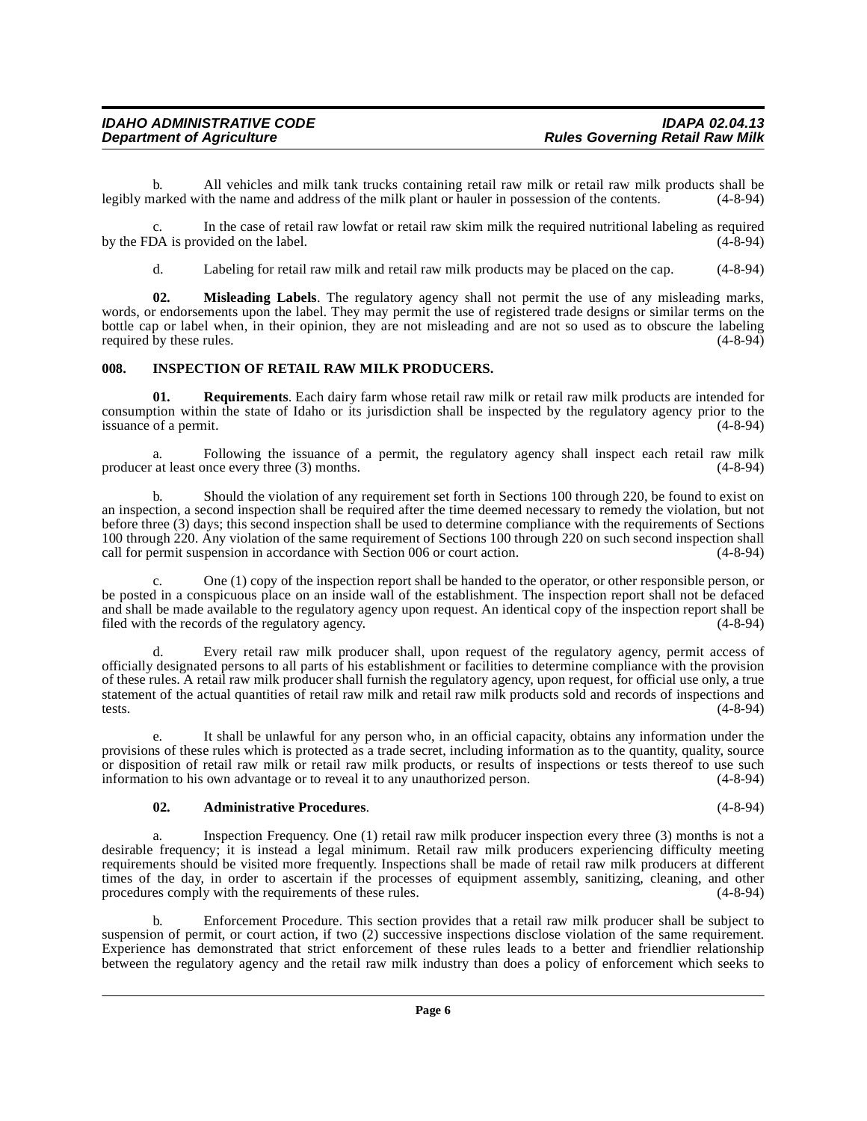<span id="page-5-0"></span>**008. INSPECTION OF RETAIL RAW MILK PRODUCERS.**

b. Should the violation of any requirement set forth in Sections 100 through 220, be found to exist on an inspection, a second inspection shall be required after the time deemed necessary to remedy the violation, but not before three (3) days; this second inspection shall be used to determine compliance with the requirements of Sections 100 through 220. Any violation of the same requirement of Sections 100 through 220 on such second inspection shall call for permit suspension in accordance with Section 006 or court action. (4-8-94) call for permit suspension in accordance with Section 006 or court action.

consumption within the state of Idaho or its jurisdiction shall be inspected by the regulatory agency prior to the issuance of a permit. (4-8-94)

b. All vehicles and milk tank trucks containing retail raw milk or retail raw milk products shall be harked with the name and address of the milk plant or hauler in possession of the contents. (4-8-94)

c. In the case of retail raw lowfat or retail raw skim milk the required nutritional labeling as required

<span id="page-5-2"></span>d. Labeling for retail raw milk and retail raw milk products may be placed on the cap. (4-8-94)

**02. Misleading Labels**. The regulatory agency shall not permit the use of any misleading marks, words, or endorsements upon the label. They may permit the use of registered trade designs or similar terms on the bottle cap or label when, in their opinion, they are not misleading and are not so used as to obscure the labeling required by these rules. (4-8-94)

<span id="page-5-1"></span>**01. Requirements**. Each dairy farm whose retail raw milk or retail raw milk products are intended for

a. Following the issuance of a permit, the regulatory agency shall inspect each retail raw milk at least once every three (3) months. (4-8-94)

legibly marked with the name and address of the milk plant or hauler in possession of the contents.

One (1) copy of the inspection report shall be handed to the operator, or other responsible person, or be posted in a conspicuous place on an inside wall of the establishment. The inspection report shall not be defaced and shall be made available to the regulatory agency upon request. An identical copy of the inspection report shall be filed with the records of the regulatory agency. (4-8-94) filed with the records of the regulatory agency.

Every retail raw milk producer shall, upon request of the regulatory agency, permit access of officially designated persons to all parts of his establishment or facilities to determine compliance with the provision of these rules. A retail raw milk producer shall furnish the regulatory agency, upon request, for official use only, a true statement of the actual quantities of retail raw milk and retail raw milk products sold and records of inspections and tests.  $(4-8-94)$ 

e. It shall be unlawful for any person who, in an official capacity, obtains any information under the provisions of these rules which is protected as a trade secret, including information as to the quantity, quality, source or disposition of retail raw milk or retail raw milk products, or results of inspections or tests thereof to use such information to his own advantage or to reveal it to any unauthorized person. (4-8-94) information to his own advantage or to reveal it to any unauthorized person.

#### **02. Administrative Procedures**. (4-8-94)

by the FDA is provided on the label.

required by these rules.

Inspection Frequency. One (1) retail raw milk producer inspection every three (3) months is not a desirable frequency; it is instead a legal minimum. Retail raw milk producers experiencing difficulty meeting requirements should be visited more frequently. Inspections shall be made of retail raw milk producers at different times of the day, in order to ascertain if the processes of equipment assembly, sanitizing, cleaning, and other procedures comply with the requirements of these rules. (4-8-94)

b. Enforcement Procedure. This section provides that a retail raw milk producer shall be subject to suspension of permit, or court action, if two (2) successive inspections disclose violation of the same requirement. Experience has demonstrated that strict enforcement of these rules leads to a better and friendlier relationship between the regulatory agency and the retail raw milk industry than does a policy of enforcement which seeks to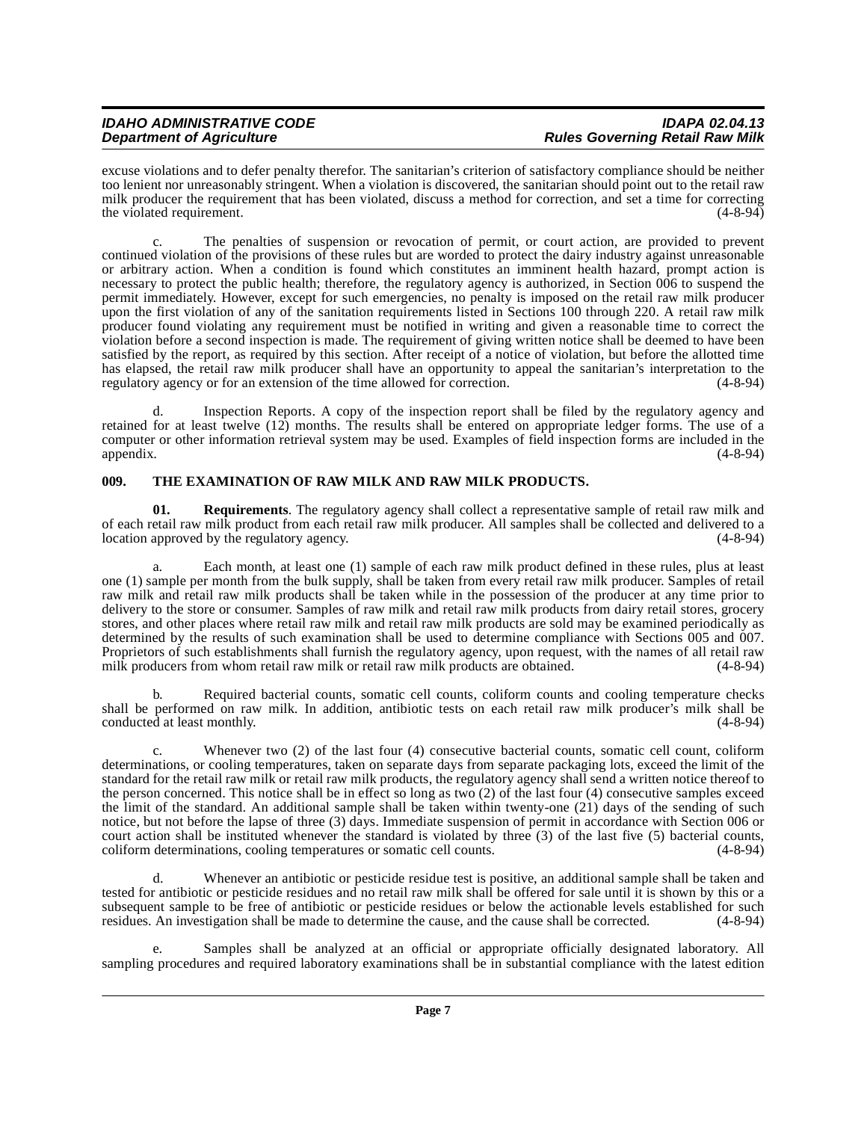excuse violations and to defer penalty therefor. The sanitarian's criterion of satisfactory compliance should be neither too lenient nor unreasonably stringent. When a violation is discovered, the sanitarian should point out to the retail raw milk producer the requirement that has been violated, discuss a method for correction, and set a time for correcting the violated requirement. (4-8-94)

c. The penalties of suspension or revocation of permit, or court action, are provided to prevent continued violation of the provisions of these rules but are worded to protect the dairy industry against unreasonable or arbitrary action. When a condition is found which constitutes an imminent health hazard, prompt action is necessary to protect the public health; therefore, the regulatory agency is authorized, in Section 006 to suspend the permit immediately. However, except for such emergencies, no penalty is imposed on the retail raw milk producer upon the first violation of any of the sanitation requirements listed in Sections 100 through 220. A retail raw milk producer found violating any requirement must be notified in writing and given a reasonable time to correct the violation before a second inspection is made. The requirement of giving written notice shall be deemed to have been satisfied by the report, as required by this section. After receipt of a notice of violation, but before the allotted time has elapsed, the retail raw milk producer shall have an opportunity to appeal the sanitarian's interpretation to the regulatory agency or for an extension of the time allowed for correction. (4-8-94)

d. Inspection Reports. A copy of the inspection report shall be filed by the regulatory agency and retained for at least twelve (12) months. The results shall be entered on appropriate ledger forms. The use of a computer or other information retrieval system may be used. Examples of field inspection forms are included in the appendix. (4-8-94) appendix. (4-8-94)

#### <span id="page-6-1"></span><span id="page-6-0"></span>**009. THE EXAMINATION OF RAW MILK AND RAW MILK PRODUCTS.**

**01. Requirements**. The regulatory agency shall collect a representative sample of retail raw milk and of each retail raw milk product from each retail raw milk producer. All samples shall be collected and delivered to a location approved by the regulatory agency.

Each month, at least one (1) sample of each raw milk product defined in these rules, plus at least one (1) sample per month from the bulk supply, shall be taken from every retail raw milk producer. Samples of retail raw milk and retail raw milk products shall be taken while in the possession of the producer at any time prior to delivery to the store or consumer. Samples of raw milk and retail raw milk products from dairy retail stores, grocery stores, and other places where retail raw milk and retail raw milk products are sold may be examined periodically as determined by the results of such examination shall be used to determine compliance with Sections 005 and 007. Proprietors of such establishments shall furnish the regulatory agency, upon request, with the names of all retail raw milk producers from whom retail raw milk or retail raw milk products are obtained. (4-8-94) milk producers from whom retail raw milk or retail raw milk products are obtained.

b. Required bacterial counts, somatic cell counts, coliform counts and cooling temperature checks shall be performed on raw milk. In addition, antibiotic tests on each retail raw milk producer's milk shall be conducted at least monthly.

c. Whenever two (2) of the last four (4) consecutive bacterial counts, somatic cell count, coliform determinations, or cooling temperatures, taken on separate days from separate packaging lots, exceed the limit of the standard for the retail raw milk or retail raw milk products, the regulatory agency shall send a written notice thereof to the person concerned. This notice shall be in effect so long as two (2) of the last four (4) consecutive samples exceed the limit of the standard. An additional sample shall be taken within twenty-one (21) days of the sending of such notice, but not before the lapse of three (3) days. Immediate suspension of permit in accordance with Section 006 or court action shall be instituted whenever the standard is violated by three (3) of the last five (5) bacterial counts, coliform determinations, cooling temperatures or somatic cell counts. (4-8-94) coliform determinations, cooling temperatures or somatic cell counts.

d. Whenever an antibiotic or pesticide residue test is positive, an additional sample shall be taken and tested for antibiotic or pesticide residues and no retail raw milk shall be offered for sale until it is shown by this or a subsequent sample to be free of antibiotic or pesticide residues or below the actionable levels established for such residues. An investigation shall be made to determine the cause, and the cause shall be corrected. (4-8-9 residues. An investigation shall be made to determine the cause, and the cause shall be corrected.

e. Samples shall be analyzed at an official or appropriate officially designated laboratory. All sampling procedures and required laboratory examinations shall be in substantial compliance with the latest edition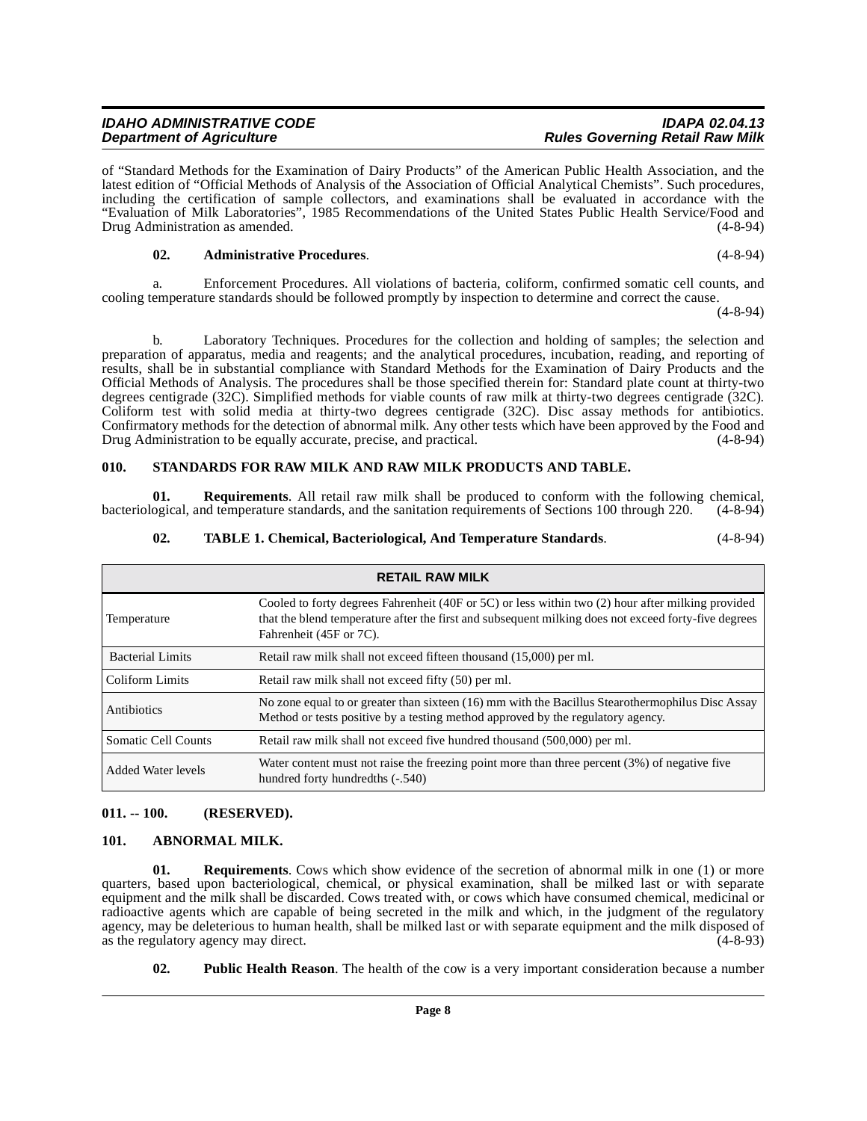# **IDAHO ADMINISTRATIVE CODE IDAPA 02.04.13**

of "Standard Methods for the Examination of Dairy Products" of the American Public Health Association, and the latest edition of "Official Methods of Analysis of the Association of Official Analytical Chemists". Such procedures, including the certification of sample collectors, and examinations shall be evaluated in accordance with the "Evaluation of Milk Laboratories", 1985 Recommendations of the United States Public Health Service/Food and Drug Administration as amended. (4-8-94)

#### **02. Administrative Procedures**. (4-8-94)

a. Enforcement Procedures. All violations of bacteria, coliform, confirmed somatic cell counts, and cooling temperature standards should be followed promptly by inspection to determine and correct the cause.

(4-8-94)

b. Laboratory Techniques. Procedures for the collection and holding of samples; the selection and preparation of apparatus, media and reagents; and the analytical procedures, incubation, reading, and reporting of results, shall be in substantial compliance with Standard Methods for the Examination of Dairy Products and the Official Methods of Analysis. The procedures shall be those specified therein for: Standard plate count at thirty-two degrees centigrade (32C). Simplified methods for viable counts of raw milk at thirty-two degrees centigrade (32C). Coliform test with solid media at thirty-two degrees centigrade (32C). Disc assay methods for antibiotics. Confirmatory methods for the detection of abnormal milk. Any other tests which have been approved by the Food and Drug Administration to be equally accurate, precise, and practical. (4-8-94) Drug Administration to be equally accurate, precise, and practical.

#### <span id="page-7-5"></span><span id="page-7-0"></span>**010. STANDARDS FOR RAW MILK AND RAW MILK PRODUCTS AND TABLE.**

**01. Requirements**. All retail raw milk shall be produced to conform with the following chemical, bacteriological, and temperature standards, and the sanitation requirements of Sections 100 through 220. (4-8-94)

#### <span id="page-7-4"></span>**02. TABLE 1. Chemical, Bacteriological, And Temperature Standards**. (4-8-94)

| <b>RETAIL RAW MILK</b>    |                                                                                                                                                                                                                                      |  |  |  |
|---------------------------|--------------------------------------------------------------------------------------------------------------------------------------------------------------------------------------------------------------------------------------|--|--|--|
| Temperature               | Cooled to forty degrees Fahrenheit (40F or 5C) or less within two (2) hour after milking provided<br>that the blend temperature after the first and subsequent milking does not exceed forty-five degrees<br>Fahrenheit (45F or 7C). |  |  |  |
| <b>Bacterial Limits</b>   | Retail raw milk shall not exceed fifteen thousand (15,000) per ml.                                                                                                                                                                   |  |  |  |
| <b>Coliform Limits</b>    | Retail raw milk shall not exceed fifty (50) per ml.                                                                                                                                                                                  |  |  |  |
| Antibiotics               | No zone equal to or greater than sixteen (16) mm with the Bacillus Stearothermophilus Disc Assay<br>Method or tests positive by a testing method approved by the regulatory agency.                                                  |  |  |  |
| Somatic Cell Counts       | Retail raw milk shall not exceed five hundred thousand (500,000) per ml.                                                                                                                                                             |  |  |  |
| <b>Added Water levels</b> | Water content must not raise the freezing point more than three percent (3%) of negative five<br>hundred forty hundredths (-.540)                                                                                                    |  |  |  |

#### <span id="page-7-1"></span>**011. -- 100. (RESERVED).**

#### <span id="page-7-3"></span><span id="page-7-2"></span>**101. ABNORMAL MILK.**

**01. Requirements**. Cows which show evidence of the secretion of abnormal milk in one (1) or more quarters, based upon bacteriological, chemical, or physical examination, shall be milked last or with separate equipment and the milk shall be discarded. Cows treated with, or cows which have consumed chemical, medicinal or radioactive agents which are capable of being secreted in the milk and which, in the judgment of the regulatory agency, may be deleterious to human health, shall be milked last or with separate equipment and the milk disposed of as the regulatory agency may direct. as the regulatory agency may direct.

**02. Public Health Reason**. The health of the cow is a very important consideration because a number

**Rules Governing Retail Raw Milk**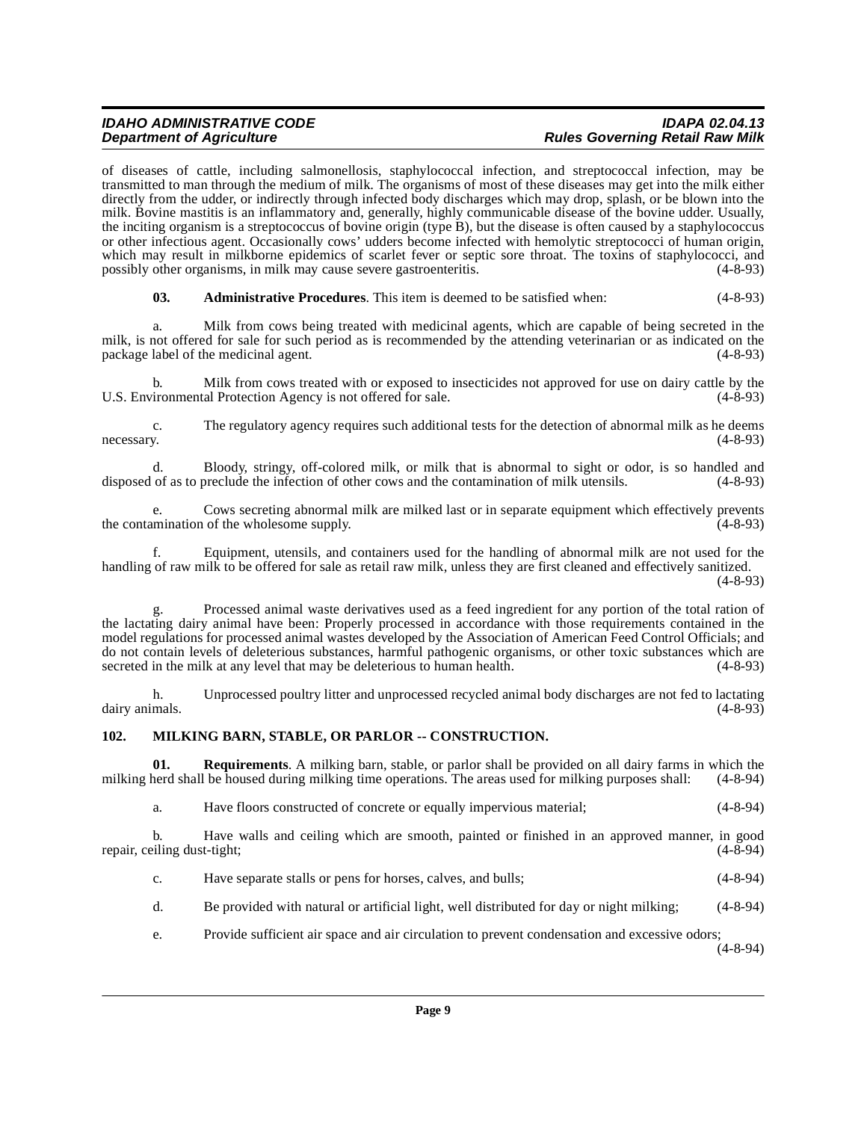of diseases of cattle, including salmonellosis, staphylococcal infection, and streptococcal infection, may be transmitted to man through the medium of milk. The organisms of most of these diseases may get into the milk either directly from the udder, or indirectly through infected body discharges which may drop, splash, or be blown into the milk. Bovine mastitis is an inflammatory and, generally, highly communicable disease of the bovine udder. Usually, the inciting organism is a streptococcus of bovine origin (type B), but the disease is often caused by a staphylococcus or other infectious agent. Occasionally cows' udders become infected with hemolytic streptococci of human origin, which may result in milkborne epidemics of scarlet fever or septic sore throat. The toxins of staphylococci, and possibly other organisms, in milk may cause severe gastroenteritis. (4-8-93)

**03. Administrative Procedures**. This item is deemed to be satisfied when: (4-8-93)

a. Milk from cows being treated with medicinal agents, which are capable of being secreted in the milk, is not offered for sale for such period as is recommended by the attending veterinarian or as indicated on the package label of the medicinal agent. (4-8-93)

b. Milk from cows treated with or exposed to insecticides not approved for use on dairy cattle by the irronmental Protection Agency is not offered for sale. (4-8-93) U.S. Environmental Protection Agency is not offered for sale.

c. The regulatory agency requires such additional tests for the detection of abnormal milk as he deems necessary. (4-8-93)

d. Bloody, stringy, off-colored milk, or milk that is abnormal to sight or odor, is so handled and of as to preclude the infection of other cows and the contamination of milk utensils. (4-8-93) disposed of as to preclude the infection of other cows and the contamination of milk utensils.

e. Cows secreting abnormal milk are milked last or in separate equipment which effectively prevents the contamination of the wholesome supply.

f. Equipment, utensils, and containers used for the handling of abnormal milk are not used for the handling of raw milk to be offered for sale as retail raw milk, unless they are first cleaned and effectively sanitized. (4-8-93)

g. Processed animal waste derivatives used as a feed ingredient for any portion of the total ration of the lactating dairy animal have been: Properly processed in accordance with those requirements contained in the model regulations for processed animal wastes developed by the Association of American Feed Control Officials; and do not contain levels of deleterious substances, harmful pathogenic organisms, or other toxic substances which are secreted in the milk at any level that may be deleterious to human health. (4-8-93) secreted in the milk at any level that may be deleterious to human health.

h. Unprocessed poultry litter and unprocessed recycled animal body discharges are not fed to lactating dairy animals. (4-8-93)

#### <span id="page-8-1"></span><span id="page-8-0"></span>**102. MILKING BARN, STABLE, OR PARLOR -- CONSTRUCTION.**

**01. Requirements**. A milking barn, stable, or parlor shall be provided on all dairy farms in which the herd shall be housed during milking time operations. The areas used for milking purposes shall:  $(4-8-94)$ milking herd shall be housed during milking time operations. The areas used for milking purposes shall:

a. Have floors constructed of concrete or equally impervious material; (4-8-94)

b. Have walls and ceiling which are smooth, painted or finished in an approved manner, in good repair, ceiling dust-tight; (4-8-94)

c. Have separate stalls or pens for horses, calves, and bulls; (4-8-94)

d. Be provided with natural or artificial light, well distributed for day or night milking; (4-8-94)

e. Provide sufficient air space and air circulation to prevent condensation and excessive odors;

 $(4 - 8 - 94)$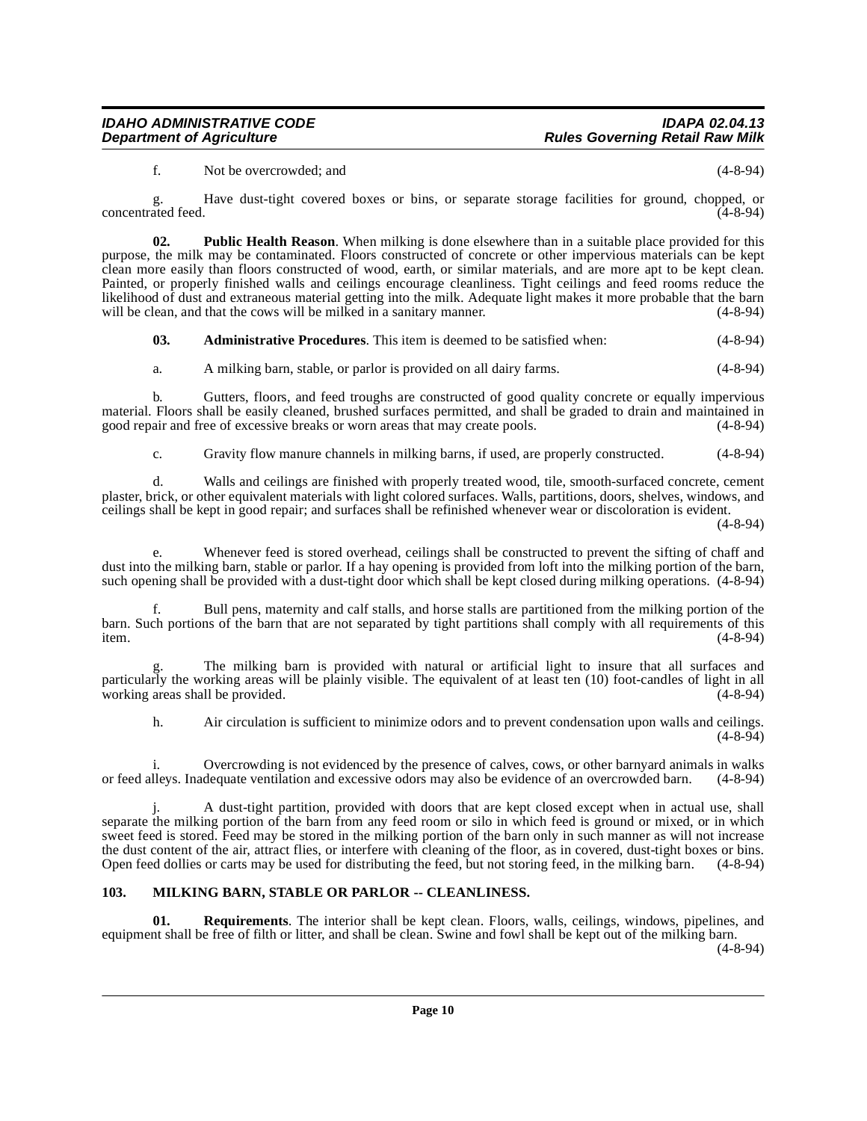f. Not be overcrowded; and (4-8-94)

g. Have dust-tight covered boxes or bins, or separate storage facilities for ground, chopped, or concentrated feed. (4-8-94)

**02. Public Health Reason**. When milking is done elsewhere than in a suitable place provided for this purpose, the milk may be contaminated. Floors constructed of concrete or other impervious materials can be kept clean more easily than floors constructed of wood, earth, or similar materials, and are more apt to be kept clean. Painted, or properly finished walls and ceilings encourage cleanliness. Tight ceilings and feed rooms reduce the likelihood of dust and extraneous material getting into the milk. Adequate light makes it more probable that the barn will be clean, and that the cows will be milked in a sanitary manner. (4-8-94) will be clean, and that the cows will be milked in a sanitary manner.

**03. Administrative Procedures**. This item is deemed to be satisfied when: (4-8-94)

a. A milking barn, stable, or parlor is provided on all dairy farms. (4-8-94)

b. Gutters, floors, and feed troughs are constructed of good quality concrete or equally impervious material. Floors shall be easily cleaned, brushed surfaces permitted, and shall be graded to drain and maintained in good repair and free of excessive breaks or worn areas that may create pools. (4-8-94)

c. Gravity flow manure channels in milking barns, if used, are properly constructed. (4-8-94)

d. Walls and ceilings are finished with properly treated wood, tile, smooth-surfaced concrete, cement plaster, brick, or other equivalent materials with light colored surfaces. Walls, partitions, doors, shelves, windows, and ceilings shall be kept in good repair; and surfaces shall be refinished whenever wear or discoloration is evident.

(4-8-94)

e. Whenever feed is stored overhead, ceilings shall be constructed to prevent the sifting of chaff and dust into the milking barn, stable or parlor. If a hay opening is provided from loft into the milking portion of the barn, such opening shall be provided with a dust-tight door which shall be kept closed during milking operations. (4-8-94)

f. Bull pens, maternity and calf stalls, and horse stalls are partitioned from the milking portion of the barn. Such portions of the barn that are not separated by tight partitions shall comply with all requirements of this item. (4-8-94)

g. The milking barn is provided with natural or artificial light to insure that all surfaces and particularly the working areas will be plainly visible. The equivalent of at least ten (10) foot-candles of light in all working areas shall be provided. (4-8-94)

h. Air circulation is sufficient to minimize odors and to prevent condensation upon walls and ceilings. (4-8-94)

i. Overcrowding is not evidenced by the presence of calves, cows, or other barnyard animals in walks<br>lleys. Inadequate ventilation and excessive odors may also be evidence of an overcrowded barn. (4-8-94) or feed alleys. Inadequate ventilation and excessive odors may also be evidence of an overcrowded barn.

j. A dust-tight partition, provided with doors that are kept closed except when in actual use, shall separate the milking portion of the barn from any feed room or silo in which feed is ground or mixed, or in which sweet feed is stored. Feed may be stored in the milking portion of the barn only in such manner as will not increase the dust content of the air, attract flies, or interfere with cleaning of the floor, as in covered, dust-tight boxes or bins.<br>Open feed dollies or carts may be used for distributing the feed, but not storing feed, in the m Open feed dollies or carts may be used for distributing the feed, but not storing feed, in the milking barn.

#### <span id="page-9-1"></span><span id="page-9-0"></span>**103. MILKING BARN, STABLE OR PARLOR -- CLEANLINESS.**

**01. Requirements**. The interior shall be kept clean. Floors, walls, ceilings, windows, pipelines, and equipment shall be free of filth or litter, and shall be clean. Swine and fowl shall be kept out of the milking barn. (4-8-94)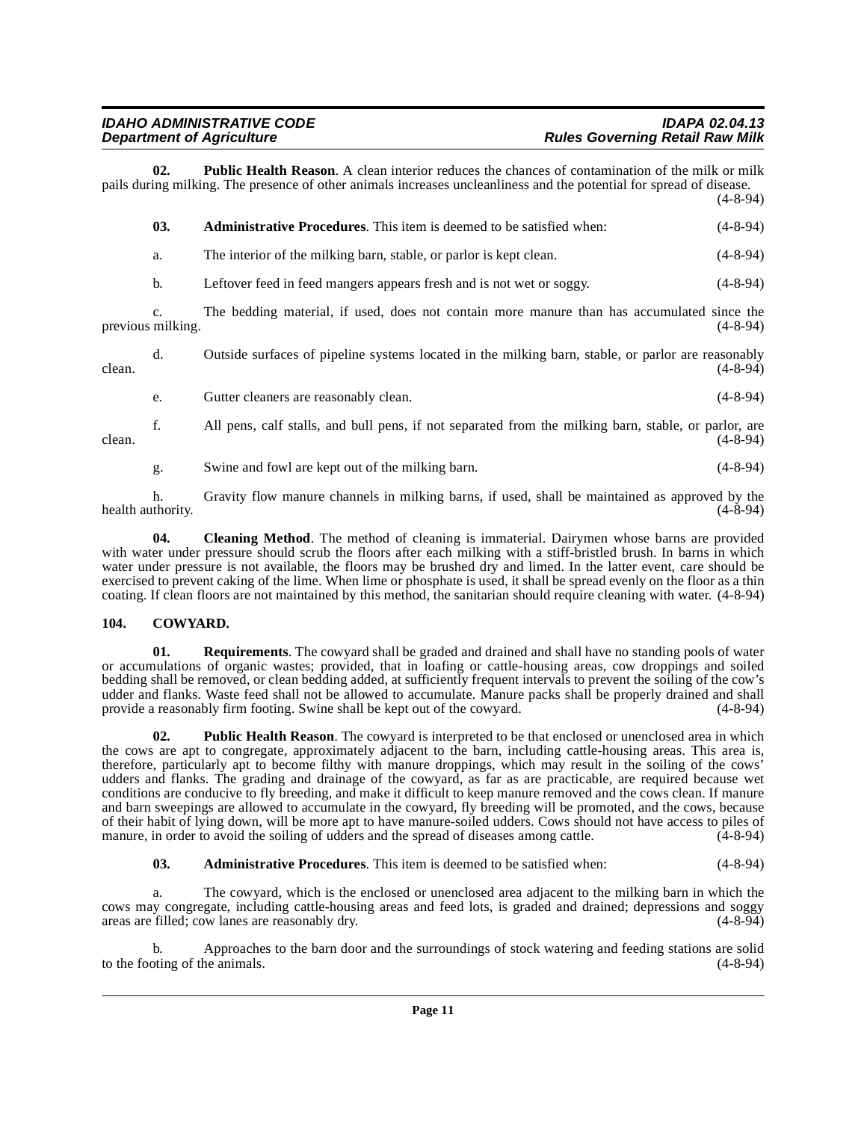**02. Public Health Reason**. A clean interior reduces the chances of contamination of the milk or milk pails during milking. The presence of other animals increases uncleanliness and the potential for spread of disease. (4-8-94) **03. Administrative Procedures**. This item is deemed to be satisfied when: (4-8-94) a. The interior of the milking barn, stable, or parlor is kept clean. (4-8-94) b. Leftover feed in feed mangers appears fresh and is not wet or soggy. (4-8-94) c. The bedding material, if used, does not contain more manure than has accumulated since the previous milking. (4-8-94) d. Outside surfaces of pipeline systems located in the milking barn, stable, or parlor are reasonably clean.  $(4-8-94)$ e. Gutter cleaners are reasonably clean. (4-8-94) f. All pens, calf stalls, and bull pens, if not separated from the milking barn, stable, or parlor, are clean.  $(4-8-94)$ 

<span id="page-10-1"></span>g. Swine and fowl are kept out of the milking barn. (4-8-94)

h. Gravity flow manure channels in milking barns, if used, shall be maintained as approved by the health authority. (4-8-94)

**04.** Cleaning Method. The method of cleaning is immaterial. Dairymen whose barns are provided with water under pressure should scrub the floors after each milking with a stiff-bristled brush. In barns in which water under pressure is not available, the floors may be brushed dry and limed. In the latter event, care should be exercised to prevent caking of the lime. When lime or phosphate is used, it shall be spread evenly on the floor as a thin coating. If clean floors are not maintained by this method, the sanitarian should require cleaning with water. (4-8-94)

#### <span id="page-10-2"></span><span id="page-10-0"></span>**104. COWYARD.**

**01. Requirements**. The cowyard shall be graded and drained and shall have no standing pools of water or accumulations of organic wastes; provided, that in loafing or cattle-housing areas, cow droppings and soiled bedding shall be removed, or clean bedding added, at sufficiently frequent intervals to prevent the soiling of the cow's udder and flanks. Waste feed shall not be allowed to accumulate. Manure packs shall be properly drained and shall provide a reasonably firm footing. Swine shall be kept out of the cowyard. (4-8-94)

**02. Public Health Reason**. The cowyard is interpreted to be that enclosed or unenclosed area in which the cows are apt to congregate, approximately adjacent to the barn, including cattle-housing areas. This area is, therefore, particularly apt to become filthy with manure droppings, which may result in the soiling of the cows' udders and flanks. The grading and drainage of the cowyard, as far as are practicable, are required because wet conditions are conducive to fly breeding, and make it difficult to keep manure removed and the cows clean. If manure and barn sweepings are allowed to accumulate in the cowyard, fly breeding will be promoted, and the cows, because of their habit of lying down, will be more apt to have manure-soiled udders. Cows should not have access to piles of manure, in order to avoid the soiling of udders and the spread of diseases among cattle. (4-8-94)

**03. Administrative Procedures**. This item is deemed to be satisfied when: (4-8-94)

The cowyard, which is the enclosed or unenclosed area adjacent to the milking barn in which the cows may congregate, including cattle-housing areas and feed lots, is graded and drained; depressions and soggy areas are filled; cow lanes are reasonably dry. (4-8-94)

Approaches to the barn door and the surroundings of stock watering and feeding stations are solid he animals. (4-8-94) to the footing of the animals.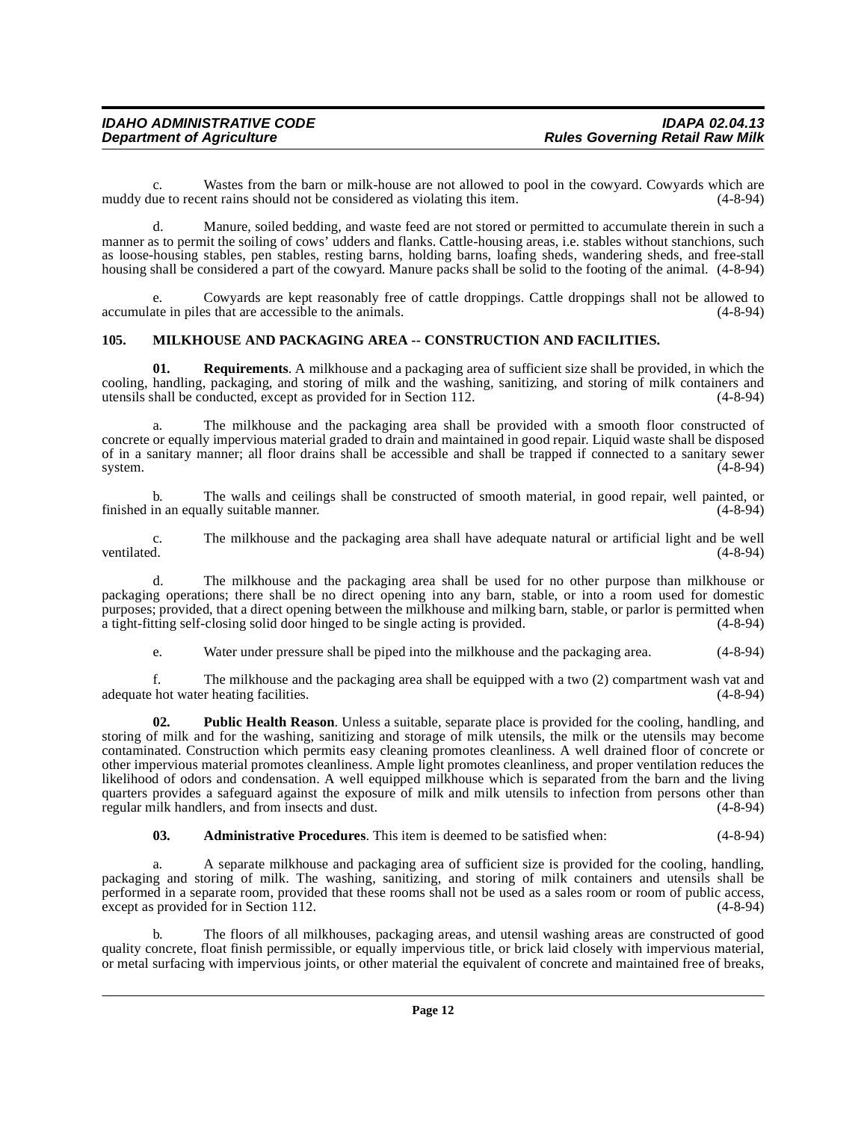c. Wastes from the barn or milk-house are not allowed to pool in the cowyard. Cowyards which are ue to recent rains should not be considered as violating this item. (4-8-94) muddy due to recent rains should not be considered as violating this item.

d. Manure, soiled bedding, and waste feed are not stored or permitted to accumulate therein in such a manner as to permit the soiling of cows' udders and flanks. Cattle-housing areas, i.e. stables without stanchions, such as loose-housing stables, pen stables, resting barns, holding barns, loafing sheds, wandering sheds, and free-stall housing shall be considered a part of the cowyard. Manure packs shall be solid to the footing of the animal. (4-8-94)

Cowyards are kept reasonably free of cattle droppings. Cattle droppings shall not be allowed to es that are accessible to the animals. (4-8-94) accumulate in piles that are accessible to the animals.

#### <span id="page-11-1"></span><span id="page-11-0"></span>**105. MILKHOUSE AND PACKAGING AREA -- CONSTRUCTION AND FACILITIES.**

**01. Requirements**. A milkhouse and a packaging area of sufficient size shall be provided, in which the cooling, handling, packaging, and storing of milk and the washing, sanitizing, and storing of milk containers and utensils shall be conducted, except as provided for in Section 112. (4-8-94) utensils shall be conducted, except as provided for in Section 112.

a. The milkhouse and the packaging area shall be provided with a smooth floor constructed of concrete or equally impervious material graded to drain and maintained in good repair. Liquid waste shall be disposed of in a sanitary manner; all floor drains shall be accessible and shall be trapped if connected to a sanitary sewer system. (4-8-94)

b. The walls and ceilings shall be constructed of smooth material, in good repair, well painted, or finished in an equally suitable manner. (4-8-94)

c. The milkhouse and the packaging area shall have adequate natural or artificial light and be well ventilated. (4-8-94)

d. The milkhouse and the packaging area shall be used for no other purpose than milkhouse or packaging operations; there shall be no direct opening into any barn, stable, or into a room used for domestic purposes; provided, that a direct opening between the milkhouse and milking barn, stable, or parlor is permitted when a tight-fitting self-closing solid door hinged to be single acting is provided. (4-8-94) a tight-fitting self-closing solid door hinged to be single acting is provided.

e. Water under pressure shall be piped into the milkhouse and the packaging area. (4-8-94)

f. The milkhouse and the packaging area shall be equipped with a two (2) compartment wash vat and adequate hot water heating facilities.

**02. Public Health Reason**. Unless a suitable, separate place is provided for the cooling, handling, and storing of milk and for the washing, sanitizing and storage of milk utensils, the milk or the utensils may become contaminated. Construction which permits easy cleaning promotes cleanliness. A well drained floor of concrete or other impervious material promotes cleanliness. Ample light promotes cleanliness, and proper ventilation reduces the likelihood of odors and condensation. A well equipped milkhouse which is separated from the barn and the living quarters provides a safeguard against the exposure of milk and milk utensils to infection from persons other than<br>regular milk handlers, and from insects and dust. regular milk handlers, and from insects and dust.

#### **03. Administrative Procedures**. This item is deemed to be satisfied when: (4-8-94)

a. A separate milkhouse and packaging area of sufficient size is provided for the cooling, handling, packaging and storing of milk. The washing, sanitizing, and storing of milk containers and utensils shall be performed in a separate room, provided that these rooms shall not be used as a sales room or room of public access, except as provided for in Section 112. (4-8-94)

b. The floors of all milkhouses, packaging areas, and utensil washing areas are constructed of good quality concrete, float finish permissible, or equally impervious title, or brick laid closely with impervious material, or metal surfacing with impervious joints, or other material the equivalent of concrete and maintained free of breaks,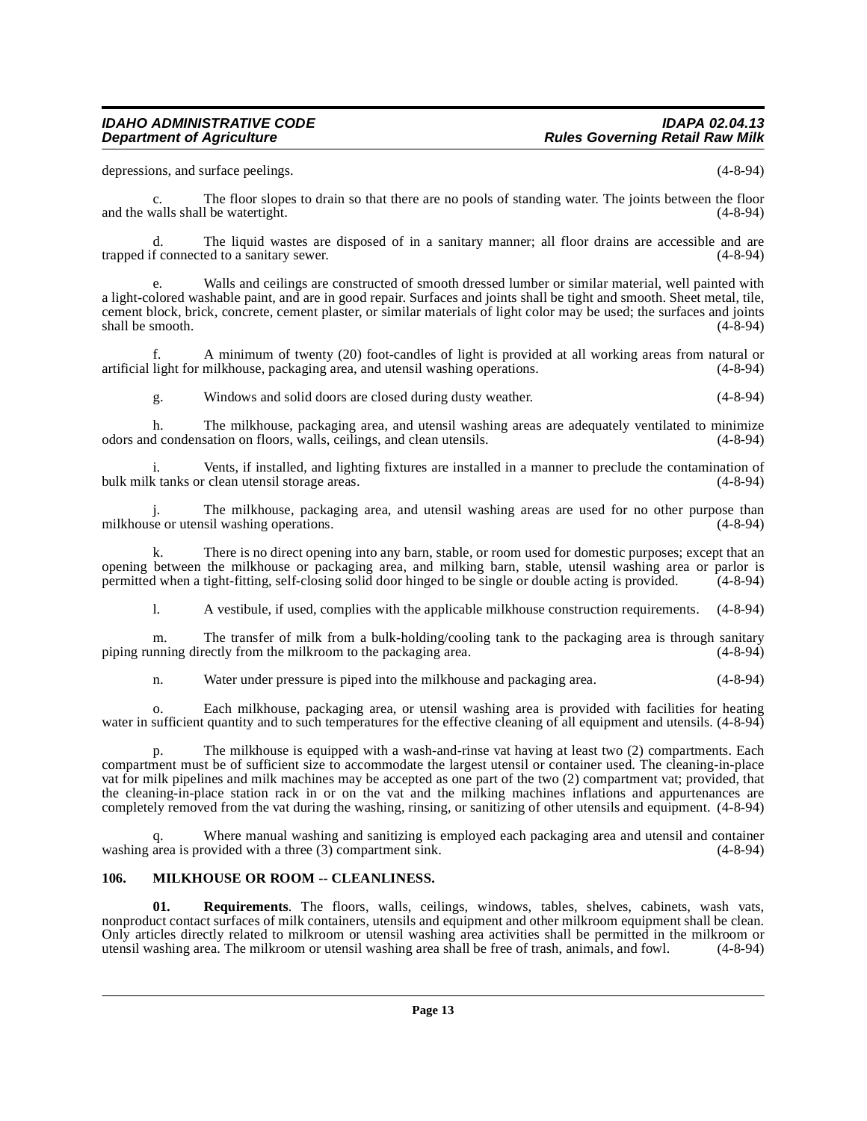depressions, and surface peelings. (4-8-94)

c. The floor slopes to drain so that there are no pools of standing water. The joints between the floor and the walls shall be watertight. (4-8-94)

d. The liquid wastes are disposed of in a sanitary manner; all floor drains are accessible and are trapped if connected to a sanitary sewer.

e. Walls and ceilings are constructed of smooth dressed lumber or similar material, well painted with a light-colored washable paint, and are in good repair. Surfaces and joints shall be tight and smooth. Sheet metal, tile, cement block, brick, concrete, cement plaster, or similar materials of light color may be used; the surfaces and joints shall be smooth.

f. A minimum of twenty (20) foot-candles of light is provided at all working areas from natural or artificial light for milkhouse, packaging area, and utensil washing operations. (4-8-94)

g. Windows and solid doors are closed during dusty weather. (4-8-94)

h. The milkhouse, packaging area, and utensil washing areas are adequately ventilated to minimize d condensation on floors, walls, ceilings, and clean utensils. odors and condensation on floors, walls, ceilings, and clean utensils.

i. Vents, if installed, and lighting fixtures are installed in a manner to preclude the contamination of k tanks or clean utensil storage areas. (4-8-94) bulk milk tanks or clean utensil storage areas.

j. The milkhouse, packaging area, and utensil washing areas are used for no other purpose than se or utensil washing operations. (4-8-94) milkhouse or utensil washing operations.

k. There is no direct opening into any barn, stable, or room used for domestic purposes; except that an opening between the milkhouse or packaging area, and milking barn, stable, utensil washing area or parlor is permitted when a tight-fitting, self-closing solid door hinged to be single or double acting is provided. (4-8-94 permitted when a tight-fitting, self-closing solid door hinged to be single or double acting is provided.

l. A vestibule, if used, complies with the applicable milkhouse construction requirements. (4-8-94)

m. The transfer of milk from a bulk-holding/cooling tank to the packaging area is through sanitary noning directly from the milkroom to the packaging area. (4-8-94) piping running directly from the milkroom to the packaging area.

n. Water under pressure is piped into the milkhouse and packaging area. (4-8-94)

o. Each milkhouse, packaging area, or utensil washing area is provided with facilities for heating water in sufficient quantity and to such temperatures for the effective cleaning of all equipment and utensils.  $(4-8-94)$ 

p. The milkhouse is equipped with a wash-and-rinse vat having at least two (2) compartments. Each compartment must be of sufficient size to accommodate the largest utensil or container used. The cleaning-in-place vat for milk pipelines and milk machines may be accepted as one part of the two (2) compartment vat; provided, that the cleaning-in-place station rack in or on the vat and the milking machines inflations and appurtenances are completely removed from the vat during the washing, rinsing, or sanitizing of other utensils and equipment. (4-8-94)

Where manual washing and sanitizing is employed each packaging area and utensil and container washing area is provided with a three (3) compartment sink. (4-8-94)

#### <span id="page-12-1"></span><span id="page-12-0"></span>**106. MILKHOUSE OR ROOM -- CLEANLINESS.**

**01. Requirements**. The floors, walls, ceilings, windows, tables, shelves, cabinets, wash vats, nonproduct contact surfaces of milk containers, utensils and equipment and other milkroom equipment shall be clean. Only articles directly related to milkroom or utensil washing area activities shall be permitted in the milkroom or utensil washing area. The milkroom or utensil washing area shall be free of trash, animals, and fowl. (4-8 utensil washing area. The milkroom or utensil washing area shall be free of trash, animals, and fowl.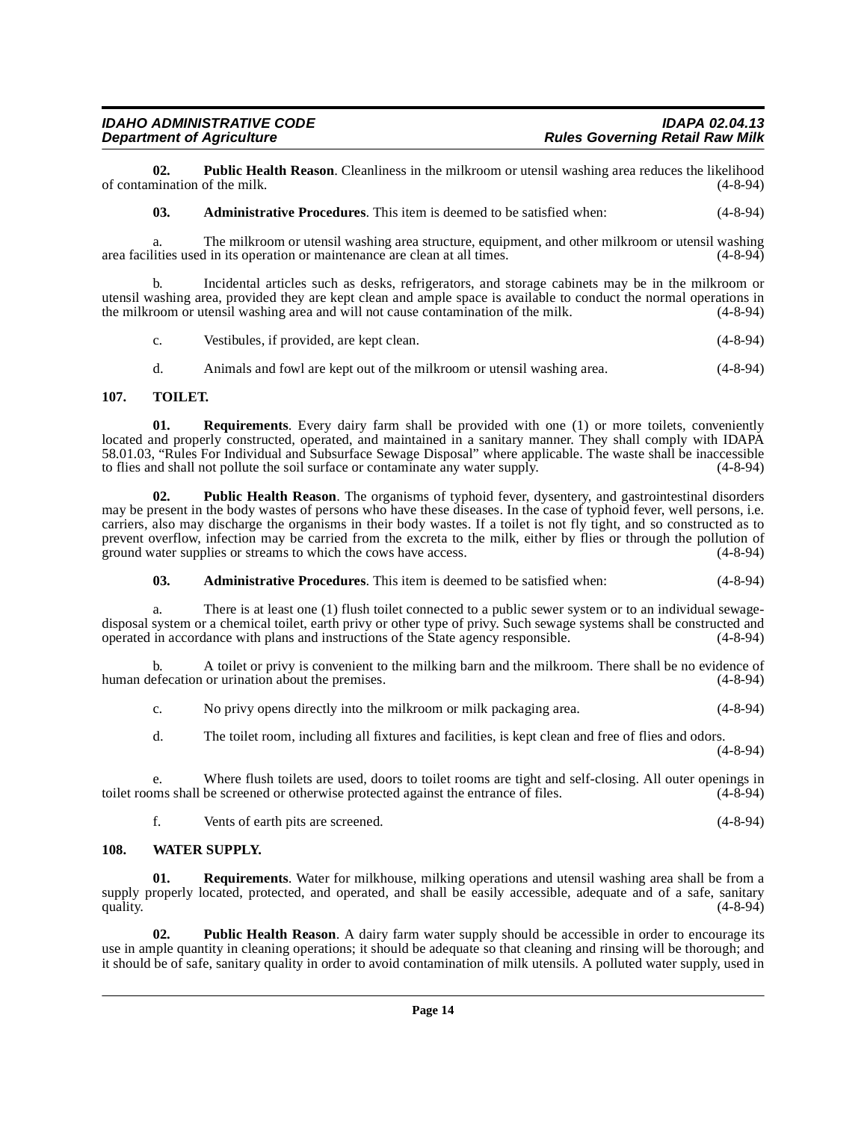**02. Public Health Reason**. Cleanliness in the milkroom or utensil washing area reduces the likelihood mination of the milk. (4-8-94) of contamination of the milk.

**03. Administrative Procedures**. This item is deemed to be satisfied when: (4-8-94)

a. The milkroom or utensil washing area structure, equipment, and other milkroom or utensil washing lities used in its operation or maintenance are clean at all times. (4-8-94) area facilities used in its operation or maintenance are clean at all times.

b. Incidental articles such as desks, refrigerators, and storage cabinets may be in the milkroom or utensil washing area, provided they are kept clean and ample space is available to conduct the normal operations in the milkroom or utensil washing area and will not cause contamination of the milk. (4-8-94)

| Vestibules, if provided, are kept clean. | $(4 - 8 - 94)$ |  |
|------------------------------------------|----------------|--|
|                                          |                |  |

<span id="page-13-2"></span>d. Animals and fowl are kept out of the milkroom or utensil washing area. (4-8-94)

#### <span id="page-13-0"></span>**107. TOILET.**

**01. Requirements**[. Every dairy farm shall be provided with one \(1\) or more toilets, conveniently](http://www2.state.id.us/adm/adminrules/rules/idapa58/0103.pdf) located and properly constructed, operated, and maintained in a sanitary manner. They shall comply with IDAPA 58.01.03, "Rules For Individual and Subsurface Sewage Disposal" where applicable. The waste shall be inaccessible to flies and shall not pollute the soil surface or contaminate any water supply. (4-8-94) to flies and shall not pollute the soil surface or contaminate any water supply.

**02. Public Health Reason**. The organisms of typhoid fever, dysentery, and gastrointestinal disorders may be present in the body wastes of persons who have these diseases. In the case of typhoid fever, well persons, i.e. carriers, also may discharge the organisms in their body wastes. If a toilet is not fly tight, and so constructed as to prevent overflow, infection may be carried from the excreta to the milk, either by flies or through the pollution of ground water supplies or streams to which the cows have access. (4-8-94) ground water supplies or streams to which the cows have access.

**03. Administrative Procedures**. This item is deemed to be satisfied when: (4-8-94)

a. There is at least one (1) flush toilet connected to a public sewer system or to an individual sewagedisposal system or a chemical toilet, earth privy or other type of privy. Such sewage systems shall be constructed and operated in accordance with plans and instructions of the State agency responsible. (4-8-94)

b. A toilet or privy is convenient to the milking barn and the milkroom. There shall be no evidence of human defecation or urination about the premises. (4-8-94)

c. No privy opens directly into the milkroom or milk packaging area. (4-8-94)

d. The toilet room, including all fixtures and facilities, is kept clean and free of flies and odors.

e. Where flush toilets are used, doors to toilet rooms are tight and self-closing. All outer openings in ms shall be screened or otherwise protected against the entrance of files. (4-8-94) toilet rooms shall be screened or otherwise protected against the entrance of files.

<span id="page-13-3"></span>f. Vents of earth pits are screened. (4-8-94)

#### <span id="page-13-1"></span>**108. WATER SUPPLY.**

**01. Requirements**. Water for milkhouse, milking operations and utensil washing area shall be from a supply properly located, protected, and operated, and shall be easily accessible, adequate and of a safe, sanitary quality. quality. (4-8-94)

**02.** Public Health Reason. A dairy farm water supply should be accessible in order to encourage its use in ample quantity in cleaning operations; it should be adequate so that cleaning and rinsing will be thorough; and it should be of safe, sanitary quality in order to avoid contamination of milk utensils. A polluted water supply, used in

(4-8-94)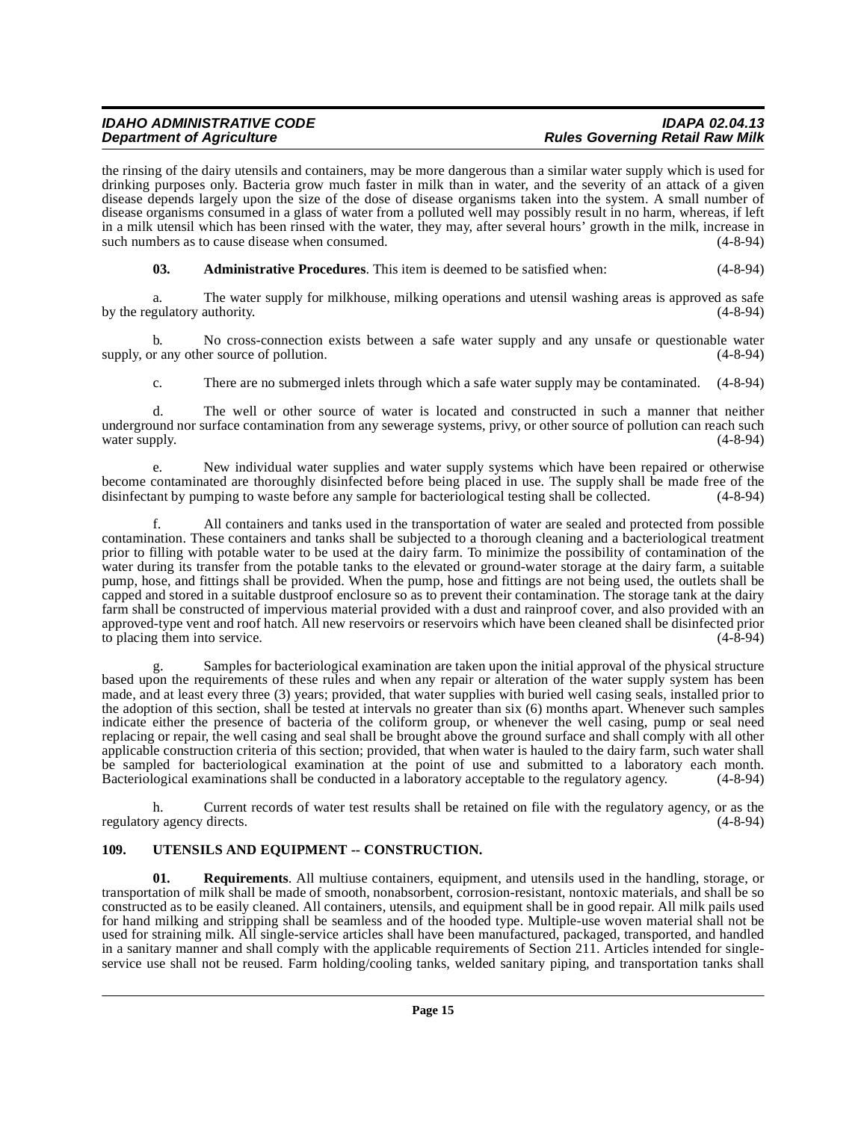the rinsing of the dairy utensils and containers, may be more dangerous than a similar water supply which is used for drinking purposes only. Bacteria grow much faster in milk than in water, and the severity of an attack of a given disease depends largely upon the size of the dose of disease organisms taken into the system. A small number of disease organisms consumed in a glass of water from a polluted well may possibly result in no harm, whereas, if left in a milk utensil which has been rinsed with the water, they may, after several hours' growth in the milk, increase in such numbers as to cause disease when consumed. (4-8-94) (4-8-94)

**03. Administrative Procedures**. This item is deemed to be satisfied when: (4-8-94)

a. The water supply for milkhouse, milking operations and utensil washing areas is approved as safe gulatory authority. (4-8-94) by the regulatory authority.

b. No cross-connection exists between a safe water supply and any unsafe or questionable water supply, or any other source of pollution. (4-8-94)

c. There are no submerged inlets through which a safe water supply may be contaminated. (4-8-94)

d. The well or other source of water is located and constructed in such a manner that neither underground nor surface contamination from any sewerage systems, privy, or other source of pollution can reach such water supply. (4-8-94)

e. New individual water supplies and water supply systems which have been repaired or otherwise become contaminated are thoroughly disinfected before being placed in use. The supply shall be made free of the disinfectant by pumping to waste before any sample for bacteriological testing shall be collected.

f. All containers and tanks used in the transportation of water are sealed and protected from possible contamination. These containers and tanks shall be subjected to a thorough cleaning and a bacteriological treatment prior to filling with potable water to be used at the dairy farm. To minimize the possibility of contamination of the water during its transfer from the potable tanks to the elevated or ground-water storage at the dairy farm, a suitable pump, hose, and fittings shall be provided. When the pump, hose and fittings are not being used, the outlets shall be capped and stored in a suitable dustproof enclosure so as to prevent their contamination. The storage tank at the dairy farm shall be constructed of impervious material provided with a dust and rainproof cover, and also provided with an approved-type vent and roof hatch. All new reservoirs or reservoirs which have been cleaned shall be disinfected prior to placing them into service. (4-8-94)

Samples for bacteriological examination are taken upon the initial approval of the physical structure based upon the requirements of these rules and when any repair or alteration of the water supply system has been made, and at least every three (3) years; provided, that water supplies with buried well casing seals, installed prior to the adoption of this section, shall be tested at intervals no greater than six (6) months apart. Whenever such samples indicate either the presence of bacteria of the coliform group, or whenever the well casing, pump or seal need replacing or repair, the well casing and seal shall be brought above the ground surface and shall comply with all other applicable construction criteria of this section; provided, that when water is hauled to the dairy farm, such water shall be sampled for bacteriological examination at the point of use and submitted to a laboratory each month. Bacteriological examinations shall be conducted in a laboratory acceptable to the regulatory agency. (4-8-94)

h. Current records of water test results shall be retained on file with the regulatory agency, or as the regulatory agency directs. (4-8-94)

#### <span id="page-14-1"></span><span id="page-14-0"></span>109. UTENSILS AND EQUIPMENT -- CONSTRUCTION.

**01. Requirements**. All multiuse containers, equipment, and utensils used in the handling, storage, or transportation of milk shall be made of smooth, nonabsorbent, corrosion-resistant, nontoxic materials, and shall be so constructed as to be easily cleaned. All containers, utensils, and equipment shall be in good repair. All milk pails used for hand milking and stripping shall be seamless and of the hooded type. Multiple-use woven material shall not be used for straining milk. All single-service articles shall have been manufactured, packaged, transported, and handled in a sanitary manner and shall comply with the applicable requirements of Section 211. Articles intended for singleservice use shall not be reused. Farm holding/cooling tanks, welded sanitary piping, and transportation tanks shall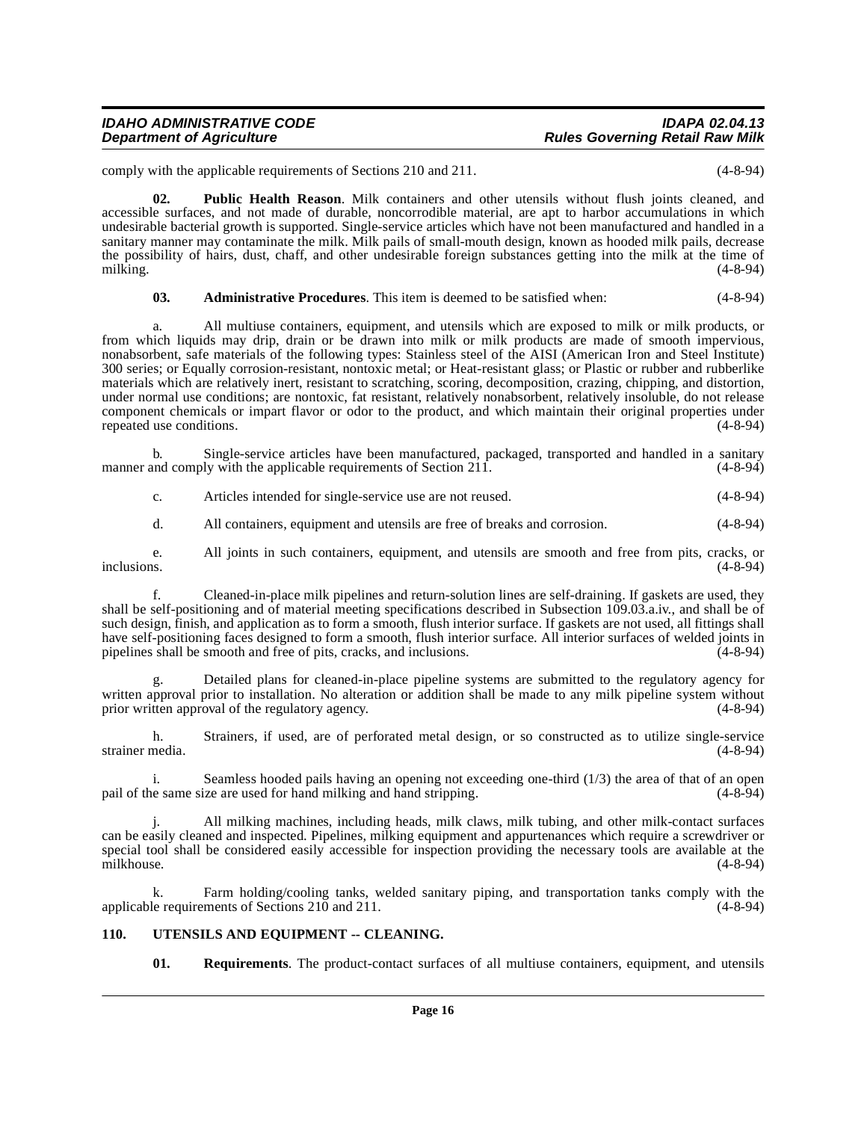# **IDAHO ADMINISTRATIVE CODE IDAPA 02.04.13**

comply with the applicable requirements of Sections 210 and 211. (4-8-94)

**02. Public Health Reason**. Milk containers and other utensils without flush joints cleaned, and accessible surfaces, and not made of durable, noncorrodible material, are apt to harbor accumulations in which undesirable bacterial growth is supported. Single-service articles which have not been manufactured and handled in a sanitary manner may contaminate the milk. Milk pails of small-mouth design, known as hooded milk pails, decrease the possibility of hairs, dust, chaff, and other undesirable foreign substances getting into the milk at the time of milking. (4-8-94)

**03. Administrative Procedures**. This item is deemed to be satisfied when: (4-8-94)

a. All multiuse containers, equipment, and utensils which are exposed to milk or milk products, or from which liquids may drip, drain or be drawn into milk or milk products are made of smooth impervious, nonabsorbent, safe materials of the following types: Stainless steel of the AISI (American Iron and Steel Institute) 300 series; or Equally corrosion-resistant, nontoxic metal; or Heat-resistant glass; or Plastic or rubber and rubberlike materials which are relatively inert, resistant to scratching, scoring, decomposition, crazing, chipping, and distortion, under normal use conditions; are nontoxic, fat resistant, relatively nonabsorbent, relatively insoluble, do not release component chemicals or impart flavor or odor to the product, and which maintain their original properties under repeated use conditions. (4-8-94)

b. Single-service articles have been manufactured, packaged, transported and handled in a sanitary and comply with the applicable requirements of Section 211. manner and comply with the applicable requirements of Section  $211$ .

c. Articles intended for single-service use are not reused. (4-8-94)

d. All containers, equipment and utensils are free of breaks and corrosion. (4-8-94)

e. All joints in such containers, equipment, and utensils are smooth and free from pits, cracks, or inclusions. (4-8-94)

f. Cleaned-in-place milk pipelines and return-solution lines are self-draining. If gaskets are used, they shall be self-positioning and of material meeting specifications described in Subsection 109.03.a.iv., and shall be of such design, finish, and application as to form a smooth, flush interior surface. If gaskets are not used, all fittings shall have self-positioning faces designed to form a smooth, flush interior surface. All interior surfaces of welded joints in pipelines shall be smooth and free of pits, cracks, and inclusions. (4-8-94) pipelines shall be smooth and free of pits, cracks, and inclusions.

Detailed plans for cleaned-in-place pipeline systems are submitted to the regulatory agency for written approval prior to installation. No alteration or addition shall be made to any milk pipeline system without prior written approval of the regulatory agency. (4-8-94)

h. Strainers, if used, are of perforated metal design, or so constructed as to utilize single-service strainer media. (4-8-94)

i. Seamless hooded pails having an opening not exceeding one-third  $(1/3)$  the area of that of an open<br>ne same size are used for hand milking and hand stripping.  $(4-8-94)$ pail of the same size are used for hand milking and hand stripping.

j. All milking machines, including heads, milk claws, milk tubing, and other milk-contact surfaces can be easily cleaned and inspected. Pipelines, milking equipment and appurtenances which require a screwdriver or special tool shall be considered easily accessible for inspection providing the necessary tools are available at the milkhouse. (4-8-94) milkhouse. (4-8-94)

Farm holding/cooling tanks, welded sanitary piping, and transportation tanks comply with the applicable requirements of Sections 210 and 211. (4-8-94)

#### <span id="page-15-0"></span>110. UTENSILS AND EQUIPMENT -- CLEANING.

<span id="page-15-1"></span>**01. Requirements**. The product-contact surfaces of all multiuse containers, equipment, and utensils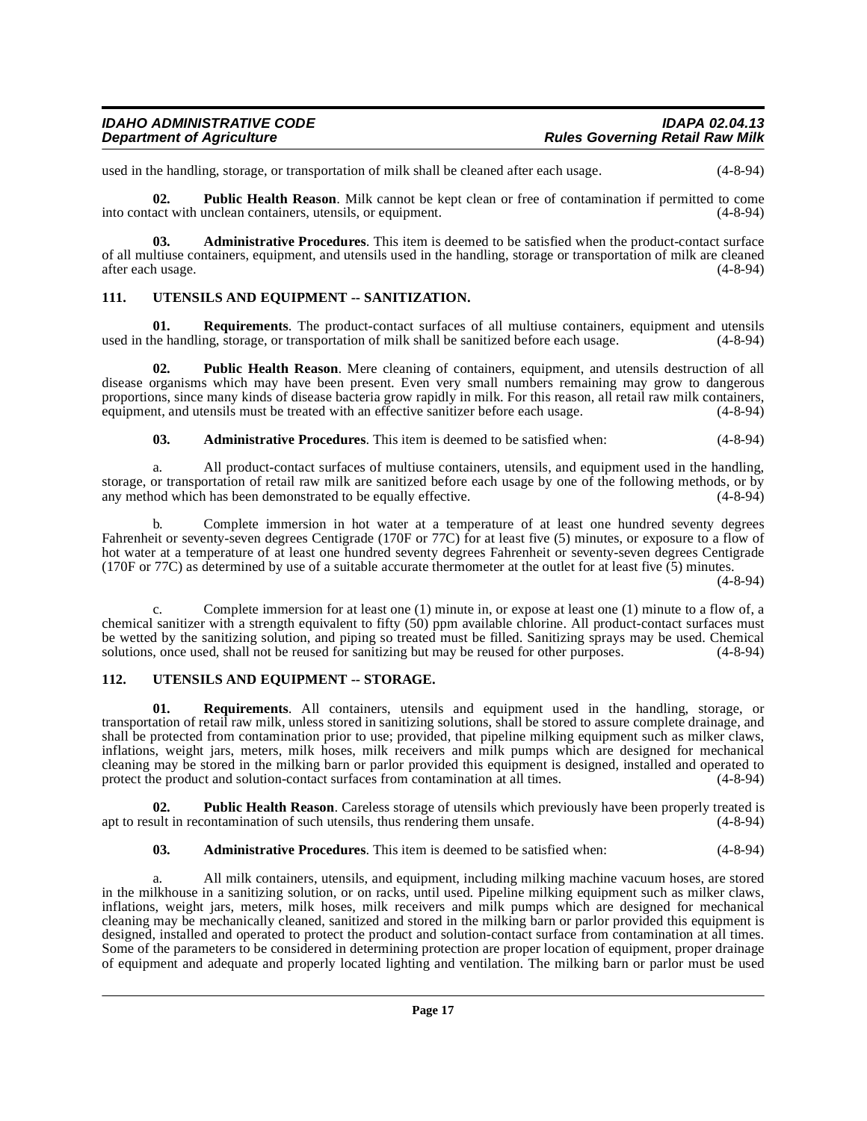| <b>IDAHO ADMINISTRATIVE CODE</b> | <b>IDAPA 02.04.13</b>                  |
|----------------------------------|----------------------------------------|
| <b>Department of Agriculture</b> | <b>Rules Governing Retail Raw Milk</b> |

used in the handling, storage, or transportation of milk shall be cleaned after each usage. (4-8-94)

**02. Public Health Reason**. Milk cannot be kept clean or free of contamination if permitted to come into contact with unclean containers, utensils, or equipment. (4-8-94)

**03. Administrative Procedures**. This item is deemed to be satisfied when the product-contact surface of all multiuse containers, equipment, and utensils used in the handling, storage or transportation of milk are cleaned after each usage. (4-8-94)

#### <span id="page-16-2"></span><span id="page-16-0"></span>**111. UTENSILS AND EQUIPMENT -- SANITIZATION.**

**01. Requirements**. The product-contact surfaces of all multiuse containers, equipment and utensils he handling, storage, or transportation of milk shall be sanitized before each usage. (4-8-94) used in the handling, storage, or transportation of milk shall be sanitized before each usage.

**02. Public Health Reason**. Mere cleaning of containers, equipment, and utensils destruction of all disease organisms which may have been present. Even very small numbers remaining may grow to dangerous proportions, since many kinds of disease bacteria grow rapidly in milk. For this reason, all retail raw milk containers, equipment, and utensils must be treated with an effective sanitizer before each usage. (4-8-94) equipment, and utensils must be treated with an effective sanitizer before each usage.

**03. Administrative Procedures**. This item is deemed to be satisfied when: (4-8-94)

a. All product-contact surfaces of multiuse containers, utensils, and equipment used in the handling, storage, or transportation of retail raw milk are sanitized before each usage by one of the following methods, or by<br>any method which has been demonstrated to be equally effective. any method which has been demonstrated to be equally effective.

b. Complete immersion in hot water at a temperature of at least one hundred seventy degrees Fahrenheit or seventy-seven degrees Centigrade (170F or 77C) for at least five (5) minutes, or exposure to a flow of hot water at a temperature of at least one hundred seventy degrees Fahrenheit or seventy-seven degrees Centigrade (170F or 77C) as determined by use of a suitable accurate thermometer at the outlet for at least five (5) minutes.

(4-8-94)

c. Complete immersion for at least one (1) minute in, or expose at least one (1) minute to a flow of, a chemical sanitizer with a strength equivalent to fifty (50) ppm available chlorine. All product-contact surfaces must be wetted by the sanitizing solution, and piping so treated must be filled. Sanitizing sprays may be used. Chemical solutions, once used, shall not be reused for sanitizing but may be reused for other purposes. (4-8-94) solutions, once used, shall not be reused for sanitizing but may be reused for other purposes.

#### <span id="page-16-3"></span><span id="page-16-1"></span>**112. UTENSILS AND EQUIPMENT -- STORAGE.**

**01. Requirements**. All containers, utensils and equipment used in the handling, storage, or transportation of retail raw milk, unless stored in sanitizing solutions, shall be stored to assure complete drainage, and shall be protected from contamination prior to use; provided, that pipeline milking equipment such as milker claws, inflations, weight jars, meters, milk hoses, milk receivers and milk pumps which are designed for mechanical cleaning may be stored in the milking barn or parlor provided this equipment is designed, installed and operated to protect the product and solution-contact surfaces from contamination at all times. (4-8-94) protect the product and solution-contact surfaces from contamination at all times.

**02. Public Health Reason**. Careless storage of utensils which previously have been properly treated is apt to result in recontamination of such utensils, thus rendering them unsafe. (4-8-94)

**03. Administrative Procedures**. This item is deemed to be satisfied when: (4-8-94)

a. All milk containers, utensils, and equipment, including milking machine vacuum hoses, are stored in the milkhouse in a sanitizing solution, or on racks, until used. Pipeline milking equipment such as milker claws, inflations, weight jars, meters, milk hoses, milk receivers and milk pumps which are designed for mechanical cleaning may be mechanically cleaned, sanitized and stored in the milking barn or parlor provided this equipment is designed, installed and operated to protect the product and solution-contact surface from contamination at all times. Some of the parameters to be considered in determining protection are proper location of equipment, proper drainage of equipment and adequate and properly located lighting and ventilation. The milking barn or parlor must be used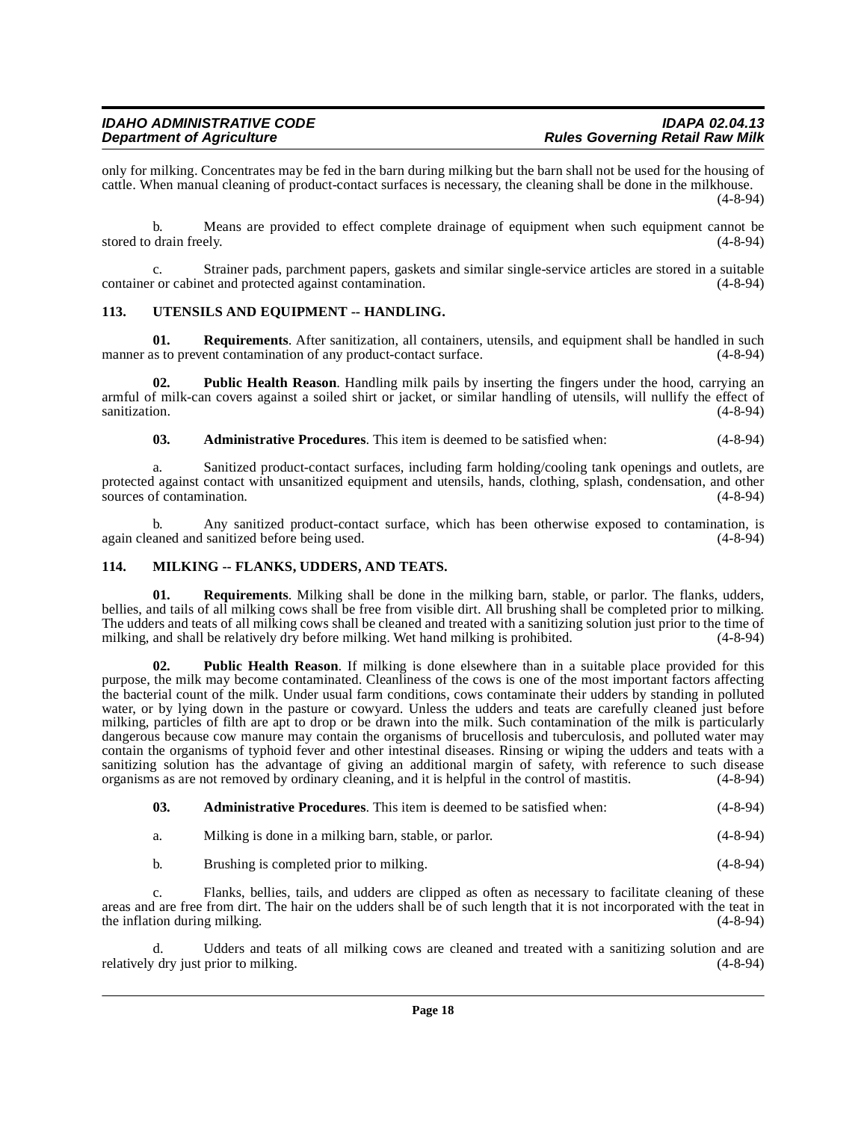only for milking. Concentrates may be fed in the barn during milking but the barn shall not be used for the housing of cattle. When manual cleaning of product-contact surfaces is necessary, the cleaning shall be done in the milkhouse. (4-8-94)

b. Means are provided to effect complete drainage of equipment when such equipment cannot be stored to drain freely. (4-8-94)

c. Strainer pads, parchment papers, gaskets and similar single-service articles are stored in a suitable container or cabinet and protected against contamination.

#### <span id="page-17-4"></span><span id="page-17-0"></span>**113. UTENSILS AND EQUIPMENT -- HANDLING.**

**01. Requirements**. After sanitization, all containers, utensils, and equipment shall be handled in such manner as to prevent contamination of any product-contact surface. (4-8-94)

**02. Public Health Reason**. Handling milk pails by inserting the fingers under the hood, carrying an armful of milk-can covers against a soiled shirt or jacket, or similar handling of utensils, will nullify the effect of sanitization. (4-8-94)

<span id="page-17-2"></span>**03. Administrative Procedures**. This item is deemed to be satisfied when: (4-8-94)

a. Sanitized product-contact surfaces, including farm holding/cooling tank openings and outlets, are protected against contact with unsanitized equipment and utensils, hands, clothing, splash, condensation, and other<br>sources of contamination. (4-8-94) sources of contamination.

b. Any sanitized product-contact surface, which has been otherwise exposed to contamination, is aned and sanitized before being used.  $(4-8-94)$ again cleaned and sanitized before being used.

#### <span id="page-17-3"></span><span id="page-17-1"></span>**114. MILKING -- FLANKS, UDDERS, AND TEATS.**

**01. Requirements**. Milking shall be done in the milking barn, stable, or parlor. The flanks, udders, bellies, and tails of all milking cows shall be free from visible dirt. All brushing shall be completed prior to milking. The udders and teats of all milking cows shall be cleaned and treated with a sanitizing solution just prior to the time of milking, and shall be relatively dry before milking. Wet hand milking is prohibited. (4-8-94) milking, and shall be relatively dry before milking. Wet hand milking is prohibited.

**02. Public Health Reason**. If milking is done elsewhere than in a suitable place provided for this purpose, the milk may become contaminated. Cleanliness of the cows is one of the most important factors affecting the bacterial count of the milk. Under usual farm conditions, cows contaminate their udders by standing in polluted water, or by lying down in the pasture or cowyard. Unless the udders and teats are carefully cleaned just before milking, particles of filth are apt to drop or be drawn into the milk. Such contamination of the milk is particularly dangerous because cow manure may contain the organisms of brucellosis and tuberculosis, and polluted water may contain the organisms of typhoid fever and other intestinal diseases. Rinsing or wiping the udders and teats with a sanitizing solution has the advantage of giving an additional margin of safety, with reference to such disease organisms as are not removed by ordinary cleaning, and it is helpful in the control of mastitis. (4-8-94)

**03. Administrative Procedures**. This item is deemed to be satisfied when: (4-8-94)

a. Milking is done in a milking barn, stable, or parlor. (4-8-94)

b. Brushing is completed prior to milking. (4-8-94)

Flanks, bellies, tails, and udders are clipped as often as necessary to facilitate cleaning of these areas and are free from dirt. The hair on the udders shall be of such length that it is not incorporated with the teat in the inflation during milking. (4-8-94)

Udders and teats of all milking cows are cleaned and treated with a sanitizing solution and are prior to milking. (4-8-94) relatively dry just prior to milking.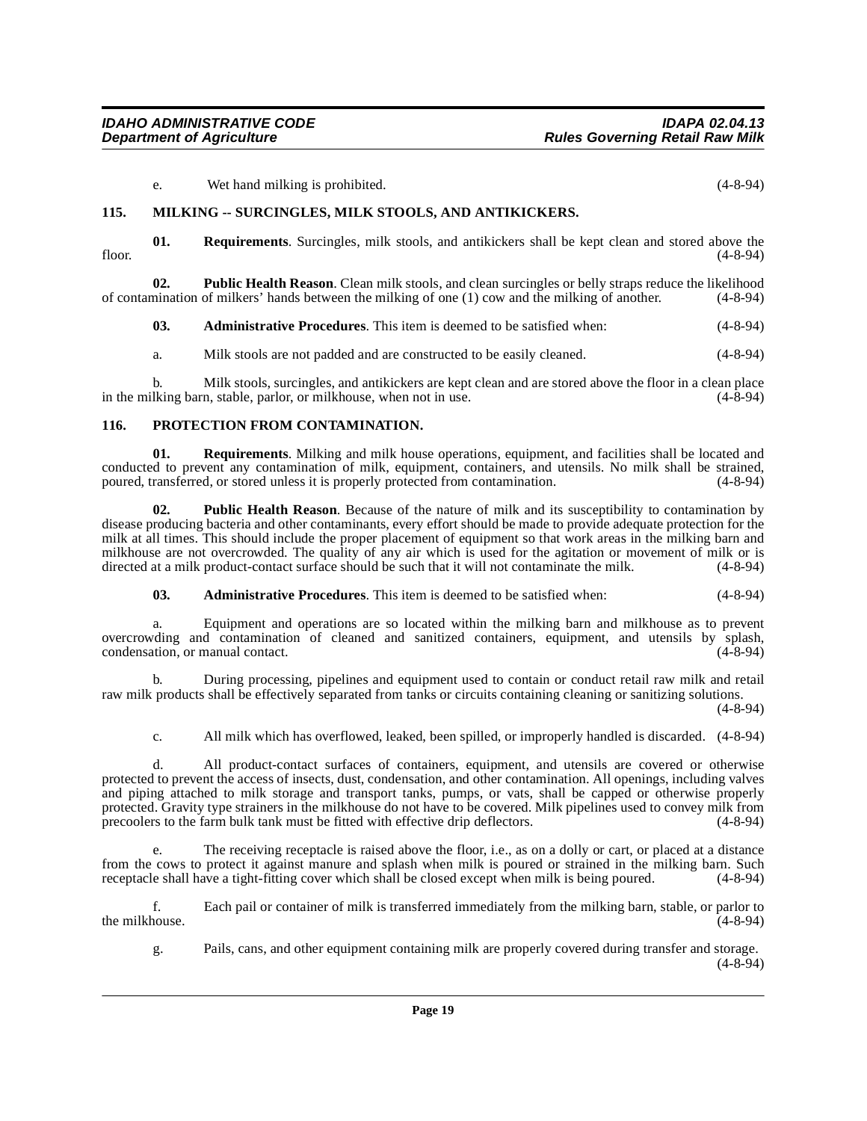<span id="page-18-2"></span>e. Wet hand milking is prohibited. (4-8-94)

#### <span id="page-18-0"></span>**115. MILKING -- SURCINGLES, MILK STOOLS, AND ANTIKICKERS.**

**01. Requirements**. Surcingles, milk stools, and antikickers shall be kept clean and stored above the (4-8-94) floor.  $(4-8-94)$ 

**02. Public Health Reason**. Clean milk stools, and clean surcingles or belly straps reduce the likelihood of contamination of milkers' hands between the milking of one (1) cow and the milking of another. (4-8-94)

| 03. | <b>Administrative Procedures.</b> This item is deemed to be satisfied when: | $(4 - 8 - 94)$ |
|-----|-----------------------------------------------------------------------------|----------------|
|-----|-----------------------------------------------------------------------------|----------------|

a. Milk stools are not padded and are constructed to be easily cleaned. (4-8-94)

b. Milk stools, surcingles, and antikickers are kept clean and are stored above the floor in a clean place listing barn, stable, parlor, or milkhouse, when not in use. in the milking barn, stable, parlor, or milkhouse, when not in use.

#### <span id="page-18-3"></span><span id="page-18-1"></span>**116. PROTECTION FROM CONTAMINATION.**

**01. Requirements**. Milking and milk house operations, equipment, and facilities shall be located and conducted to prevent any contamination of milk, equipment, containers, and utensils. No milk shall be strained, poured, transferred, or stored unless it is properly protected from contamination. (4-8-94) poured, transferred, or stored unless it is properly protected from contamination.

**02. Public Health Reason**. Because of the nature of milk and its susceptibility to contamination by disease producing bacteria and other contaminants, every effort should be made to provide adequate protection for the milk at all times. This should include the proper placement of equipment so that work areas in the milking barn and milkhouse are not overcrowded. The quality of any air which is used for the agitation or movement of milk or is directed at a milk product-contact surface should be such that it will not contaminate the milk. (4-8-94)

**03. Administrative Procedures**. This item is deemed to be satisfied when: (4-8-94)

a. Equipment and operations are so located within the milking barn and milkhouse as to prevent overcrowding and contamination of cleaned and sanitized containers, equipment, and utensils by splash, condensation, or manual contact.

b. During processing, pipelines and equipment used to contain or conduct retail raw milk and retail raw milk products shall be effectively separated from tanks or circuits containing cleaning or sanitizing solutions.

(4-8-94)

c. All milk which has overflowed, leaked, been spilled, or improperly handled is discarded. (4-8-94)

d. All product-contact surfaces of containers, equipment, and utensils are covered or otherwise protected to prevent the access of insects, dust, condensation, and other contamination. All openings, including valves and piping attached to milk storage and transport tanks, pumps, or vats, shall be capped or otherwise properly protected. Gravity type strainers in the milkhouse do not have to be covered. Milk pipelines used to convey milk from precoolers to the farm bulk tank must be fitted with effective drip deflectors. (4-8-94)

The receiving receptacle is raised above the floor, i.e., as on a dolly or cart, or placed at a distance from the cows to protect it against manure and splash when milk is poured or strained in the milking barn. Such receptacle shall have a tight-fitting cover which shall be closed except when milk is being poured. (4-8-94) receptacle shall have a tight-fitting cover which shall be closed except when milk is being poured.

f. Each pail or container of milk is transferred immediately from the milking barn, stable, or parlor to the milkhouse.

g. Pails, cans, and other equipment containing milk are properly covered during transfer and storage. (4-8-94)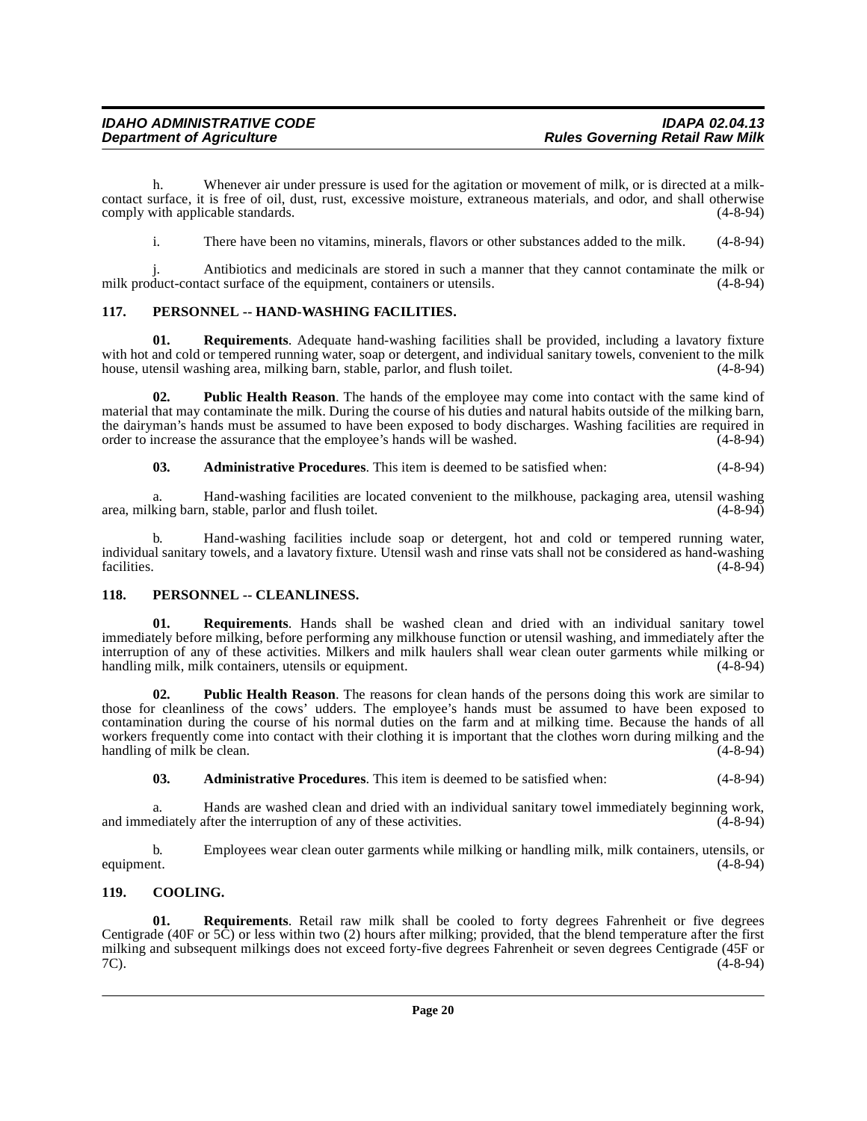h. Whenever air under pressure is used for the agitation or movement of milk, or is directed at a milkcontact surface, it is free of oil, dust, rust, excessive moisture, extraneous materials, and odor, and shall otherwise comply with applicable standards.

i. There have been no vitamins, minerals, flavors or other substances added to the milk. (4-8-94)

j. Antibiotics and medicinals are stored in such a manner that they cannot contaminate the milk or duct-contact surface of the equipment, containers or utensils. (4-8-94) milk product-contact surface of the equipment, containers or utensils.

#### <span id="page-19-5"></span><span id="page-19-0"></span>**117. PERSONNEL -- HAND-WASHING FACILITIES.**

**01. Requirements**. Adequate hand-washing facilities shall be provided, including a lavatory fixture with hot and cold or tempered running water, soap or detergent, and individual sanitary towels, convenient to the milk house, utensil washing area, milking barn, stable, parlor, and flush toilet. (4-8-94)

**02. Public Health Reason**. The hands of the employee may come into contact with the same kind of material that may contaminate the milk. During the course of his duties and natural habits outside of the milking barn, the dairyman's hands must be assumed to have been exposed to body discharges. Washing facilities are required in order to increase the assurance that the employee's hands will be washed. (4-8-94)

**03. Administrative Procedures**. This item is deemed to be satisfied when: (4-8-94)

a. Hand-washing facilities are located convenient to the milkhouse, packaging area, utensil washing king barn, stable, parlor and flush toilet. area, milking barn, stable, parlor and flush toilet.

b. Hand-washing facilities include soap or detergent, hot and cold or tempered running water, individual sanitary towels, and a lavatory fixture. Utensil wash and rinse vats shall not be considered as hand-washing facilities. (4-8-94)

#### <span id="page-19-4"></span><span id="page-19-1"></span>**118. PERSONNEL -- CLEANLINESS.**

**01. Requirements**. Hands shall be washed clean and dried with an individual sanitary towel immediately before milking, before performing any milkhouse function or utensil washing, and immediately after the interruption of any of these activities. Milkers and milk haulers shall wear clean outer garments while milking or handling milk, milk containers, utensils or equipment. handling milk, milk containers, utensils or equipment.

**02. Public Health Reason**. The reasons for clean hands of the persons doing this work are similar to those for cleanliness of the cows' udders. The employee's hands must be assumed to have been exposed to contamination during the course of his normal duties on the farm and at milking time. Because the hands of all workers frequently come into contact with their clothing it is important that the clothes worn during milking and the handling of milk be clean. handling of milk be clean.

**03. Administrative Procedures**. This item is deemed to be satisfied when: (4-8-94)

a. Hands are washed clean and dried with an individual sanitary towel immediately beginning work, and immediately after the interruption of any of these activities.  $(4-8-94)$ 

b. Employees wear clean outer garments while milking or handling milk, milk containers, utensils, or equipment. (4-8-94)

#### <span id="page-19-3"></span><span id="page-19-2"></span>**119. COOLING.**

**01. Requirements**. Retail raw milk shall be cooled to forty degrees Fahrenheit or five degrees Centigrade (40F or  $5\hat{C}$ ) or less within two (2) hours after milking; provided, that the blend temperature after the first milking and subsequent milkings does not exceed forty-five degrees Fahrenheit or seven degrees Centigrade (45F or  $7C$ ).  $7C$ ). (4-8-94)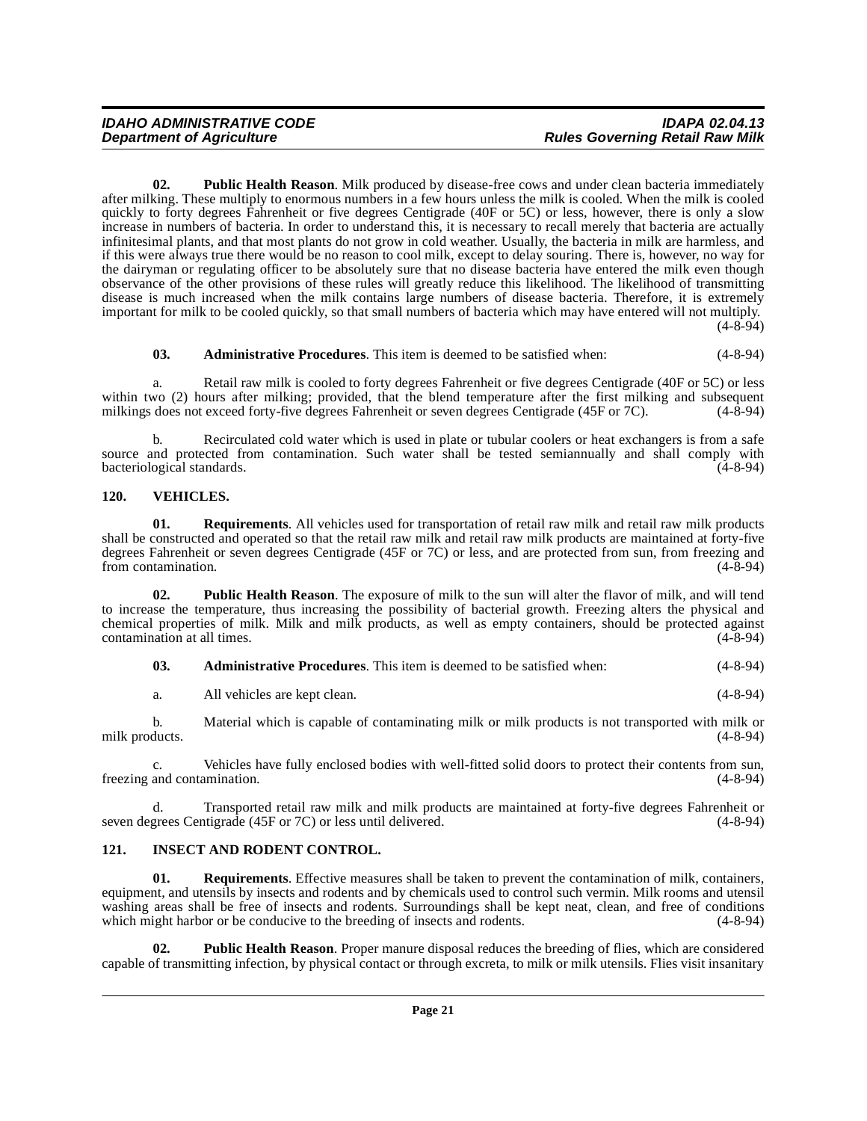<span id="page-20-3"></span>**02. Public Health Reason**. Milk produced by disease-free cows and under clean bacteria immediately after milking. These multiply to enormous numbers in a few hours unless the milk is cooled. When the milk is cooled quickly to forty degrees Fahrenheit or five degrees Centigrade (40F or 5C) or less, however, there is only a slow increase in numbers of bacteria. In order to understand this, it is necessary to recall merely that bacteria are actually infinitesimal plants, and that most plants do not grow in cold weather. Usually, the bacteria in milk are harmless, and if this were always true there would be no reason to cool milk, except to delay souring. There is, however, no way for the dairyman or regulating officer to be absolutely sure that no disease bacteria have entered the milk even though observance of the other provisions of these rules will greatly reduce this likelihood. The likelihood of transmitting disease is much increased when the milk contains large numbers of disease bacteria. Therefore, it is extremely important for milk to be cooled quickly, so that small numbers of bacteria which may have entered will not multiply. (4-8-94)

#### **03. Administrative Procedures**. This item is deemed to be satisfied when: (4-8-94)

a. Retail raw milk is cooled to forty degrees Fahrenheit or five degrees Centigrade (40F or 5C) or less within two (2) hours after milking; provided, that the blend temperature after the first milking and subsequent milkings does not exceed forty-five degrees Fahrenheit or seven degrees Centigrade (45F or 7C). (4-8-94) milkings does not exceed forty-five degrees Fahrenheit or seven degrees Centigrade (45F or 7C).

b. Recirculated cold water which is used in plate or tubular coolers or heat exchangers is from a safe source and protected from contamination. Such water shall be tested semiannually and shall comply with bacteriological standards. (4-8-94) bacteriological standards.

#### <span id="page-20-4"></span><span id="page-20-0"></span>**120. VEHICLES.**

**01. Requirements**. All vehicles used for transportation of retail raw milk and retail raw milk products shall be constructed and operated so that the retail raw milk and retail raw milk products are maintained at forty-five degrees Fahrenheit or seven degrees Centigrade (45F or 7C) or less, and are protected from sun, from freezing and from contamination. (4-8-94) from contamination.

**02. Public Health Reason**. The exposure of milk to the sun will alter the flavor of milk, and will tend to increase the temperature, thus increasing the possibility of bacterial growth. Freezing alters the physical and chemical properties of milk. Milk and milk products, as well as empty containers, should be protected against contamination at all times. (4-8-94)

| 03. |  | <b>Administrative Procedures.</b> This item is deemed to be satisfied when: | $(4-8-94)$ |
|-----|--|-----------------------------------------------------------------------------|------------|
|-----|--|-----------------------------------------------------------------------------|------------|

a. All vehicles are kept clean. (4-8-94)

b. Material which is capable of contaminating milk or milk products is not transported with milk or milk products. (4-8-94)

c. Vehicles have fully enclosed bodies with well-fitted solid doors to protect their contents from sun, freezing and contamination. (4-8-94)

d. Transported retail raw milk and milk products are maintained at forty-five degrees Fahrenheit or seven degrees Centigrade (45F or 7C) or less until delivered. (4-8-94)

#### <span id="page-20-2"></span><span id="page-20-1"></span>**121. INSECT AND RODENT CONTROL.**

**01. Requirements**. Effective measures shall be taken to prevent the contamination of milk, containers, equipment, and utensils by insects and rodents and by chemicals used to control such vermin. Milk rooms and utensil washing areas shall be free of insects and rodents. Surroundings shall be kept neat, clean, and free of conditions which might harbor or be conducive to the breeding of insects and rodents. (4-8-94)

**02. Public Health Reason**. Proper manure disposal reduces the breeding of flies, which are considered capable of transmitting infection, by physical contact or through excreta, to milk or milk utensils. Flies visit insanitary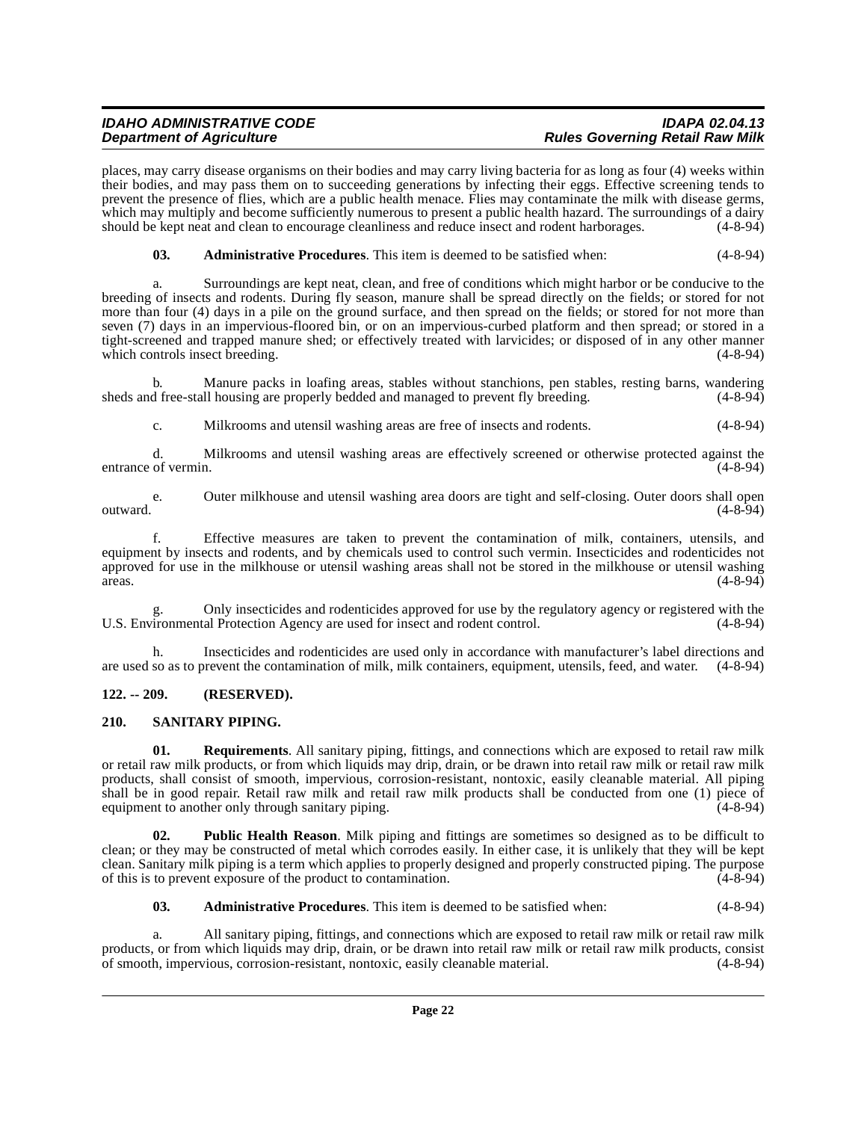## **IDAHO ADMINISTRATIVE CODE IDAPA 02.04.13 Rules Governing Retail Raw Milk**

places, may carry disease organisms on their bodies and may carry living bacteria for as long as four (4) weeks within their bodies, and may pass them on to succeeding generations by infecting their eggs. Effective screening tends to prevent the presence of flies, which are a public health menace. Flies may contaminate the milk with disease germs, which may multiply and become sufficiently numerous to present a public health hazard. The surroundings of a dairy should be kept neat and clean to encourage cleanliness and reduce insect and rodent harborages. (4-8-94)

**03. Administrative Procedures**. This item is deemed to be satisfied when: (4-8-94)

a. Surroundings are kept neat, clean, and free of conditions which might harbor or be conducive to the breeding of insects and rodents. During fly season, manure shall be spread directly on the fields; or stored for not more than four (4) days in a pile on the ground surface, and then spread on the fields; or stored for not more than seven (7) days in an impervious-floored bin, or on an impervious-curbed platform and then spread; or stored in a tight-screened and trapped manure shed; or effectively treated with larvicides; or disposed of in any other manner which controls insect breeding. (4-8-94)

b. Manure packs in loafing areas, stables without stanchions, pen stables, resting barns, wandering d free-stall housing are properly bedded and managed to prevent fly breeding. (4-8-94) sheds and free-stall housing are properly bedded and managed to prevent fly breeding.

c. Milkrooms and utensil washing areas are free of insects and rodents. (4-8-94)

d. Milkrooms and utensil washing areas are effectively screened or otherwise protected against the entrance of vermin.

e. Outer milkhouse and utensil washing area doors are tight and self-closing. Outer doors shall open outward. (4-8-94)

f. Effective measures are taken to prevent the contamination of milk, containers, utensils, and equipment by insects and rodents, and by chemicals used to control such vermin. Insecticides and rodenticides not approved for use in the milkhouse or utensil washing areas shall not be stored in the milkhouse or utensil washing areas. (4-8-94)  $(4-8-94)$ 

g. Only insecticides and rodenticides approved for use by the regulatory agency or registered with the U.S. Environmental Protection Agency are used for insect and rodent control.

h. Insecticides and rodenticides are used only in accordance with manufacturer's label directions and so as to prevent the contamination of milk, milk containers, equipment, utensils, feed, and water. (4-8-94) are used so as to prevent the contamination of milk, milk containers, equipment, utensils, feed, and water.

#### <span id="page-21-0"></span>**122. -- 209. (RESERVED).**

#### <span id="page-21-2"></span><span id="page-21-1"></span>**210. SANITARY PIPING.**

**01. Requirements**. All sanitary piping, fittings, and connections which are exposed to retail raw milk or retail raw milk products, or from which liquids may drip, drain, or be drawn into retail raw milk or retail raw milk products, shall consist of smooth, impervious, corrosion-resistant, nontoxic, easily cleanable material. All piping shall be in good repair. Retail raw milk and retail raw milk products shall be conducted from one (1) piece of equipment to another only through sanitary piping.

**02. Public Health Reason**. Milk piping and fittings are sometimes so designed as to be difficult to clean; or they may be constructed of metal which corrodes easily. In either case, it is unlikely that they will be kept clean. Sanitary milk piping is a term which applies to properly designed and properly constructed piping. The purpose of this is to prevent exposure of the product to contamination.

**03. Administrative Procedures**. This item is deemed to be satisfied when: (4-8-94)

a. All sanitary piping, fittings, and connections which are exposed to retail raw milk or retail raw milk products, or from which liquids may drip, drain, or be drawn into retail raw milk or retail raw milk products, consist<br>of smooth, impervious, corrosion-resistant, nontoxic, easily cleanable material. (4-8-94) of smooth, impervious, corrosion-resistant, nontoxic, easily cleanable material.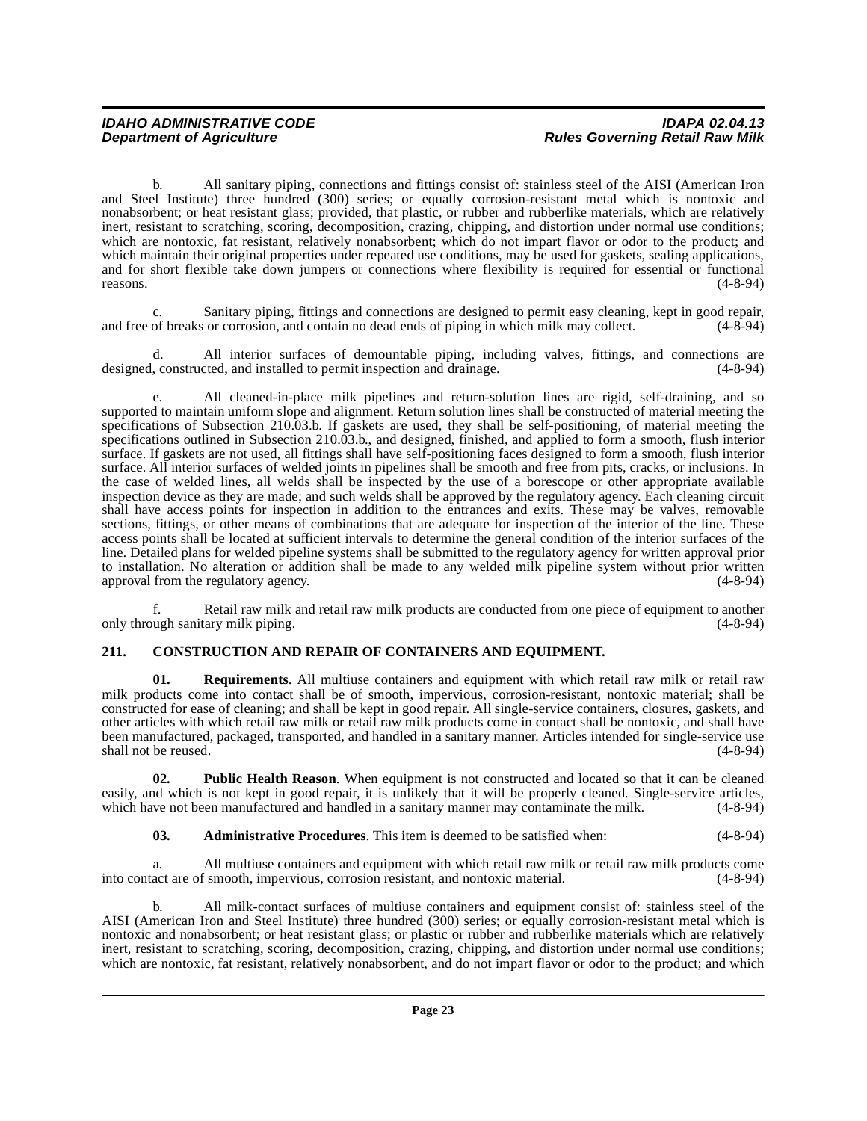b. All sanitary piping, connections and fittings consist of: stainless steel of the AISI (American Iron and Steel Institute) three hundred (300) series; or equally corrosion-resistant metal which is nontoxic and nonabsorbent; or heat resistant glass; provided, that plastic, or rubber and rubberlike materials, which are relatively inert, resistant to scratching, scoring, decomposition, crazing, chipping, and distortion under normal use conditions; which are nontoxic, fat resistant, relatively nonabsorbent; which do not impart flavor or odor to the product; and which maintain their original properties under repeated use conditions, may be used for gaskets, sealing applications, and for short flexible take down jumpers or connections where flexibility is required for essential or functional reasons. reasons.  $(4-8-94)$ 

c. Sanitary piping, fittings and connections are designed to permit easy cleaning, kept in good repair, and free of breaks or corrosion, and contain no dead ends of piping in which milk may collect.

d. All interior surfaces of demountable piping, including valves, fittings, and connections are designed, constructed, and installed to permit inspection and drainage. (4-8-94)

e. All cleaned-in-place milk pipelines and return-solution lines are rigid, self-draining, and so supported to maintain uniform slope and alignment. Return solution lines shall be constructed of material meeting the specifications of Subsection 210.03.b. If gaskets are used, they shall be self-positioning, of material meeting the specifications outlined in Subsection 210.03.b., and designed, finished, and applied to form a smooth, flush interior surface. If gaskets are not used, all fittings shall have self-positioning faces designed to form a smooth, flush interior surface. All interior surfaces of welded joints in pipelines shall be smooth and free from pits, cracks, or inclusions. In the case of welded lines, all welds shall be inspected by the use of a borescope or other appropriate available inspection device as they are made; and such welds shall be approved by the regulatory agency. Each cleaning circuit shall have access points for inspection in addition to the entrances and exits. These may be valves, removable sections, fittings, or other means of combinations that are adequate for inspection of the interior of the line. These access points shall be located at sufficient intervals to determine the general condition of the interior surfaces of the line. Detailed plans for welded pipeline systems shall be submitted to the regulatory agency for written approval prior to installation. No alteration or addition shall be made to any welded milk pipeline system without prior written approval from the regulatory agency. (4-8-94) approval from the regulatory agency.

f. Retail raw milk and retail raw milk products are conducted from one piece of equipment to another only through sanitary milk piping.

#### <span id="page-22-1"></span><span id="page-22-0"></span>**211. CONSTRUCTION AND REPAIR OF CONTAINERS AND EQUIPMENT.**

**01. Requirements**. All multiuse containers and equipment with which retail raw milk or retail raw milk products come into contact shall be of smooth, impervious, corrosion-resistant, nontoxic material; shall be constructed for ease of cleaning; and shall be kept in good repair. All single-service containers, closures, gaskets, and other articles with which retail raw milk or retail raw milk products come in contact shall be nontoxic, and shall have been manufactured, packaged, transported, and handled in a sanitary manner. Articles intended for single-service use<br>(4-8-94) shall not be reused.

**02. Public Health Reason**. When equipment is not constructed and located so that it can be cleaned easily, and which is not kept in good repair, it is unlikely that it will be properly cleaned. Single-service articles, which have not been manufactured and handled in a sanitary manner may contaminate the milk. (4-8-94) which have not been manufactured and handled in a sanitary manner may contaminate the milk.

**03. Administrative Procedures**. This item is deemed to be satisfied when: (4-8-94)

a. All multiuse containers and equipment with which retail raw milk or retail raw milk products come act are of smooth, impervious, corrosion resistant, and nontoxic material. (4-8-94) into contact are of smooth, impervious, corrosion resistant, and nontoxic material.

b. All milk-contact surfaces of multiuse containers and equipment consist of: stainless steel of the AISI (American Iron and Steel Institute) three hundred (300) series; or equally corrosion-resistant metal which is nontoxic and nonabsorbent; or heat resistant glass; or plastic or rubber and rubberlike materials which are relatively inert, resistant to scratching, scoring, decomposition, crazing, chipping, and distortion under normal use conditions; which are nontoxic, fat resistant, relatively nonabsorbent, and do not impart flavor or odor to the product; and which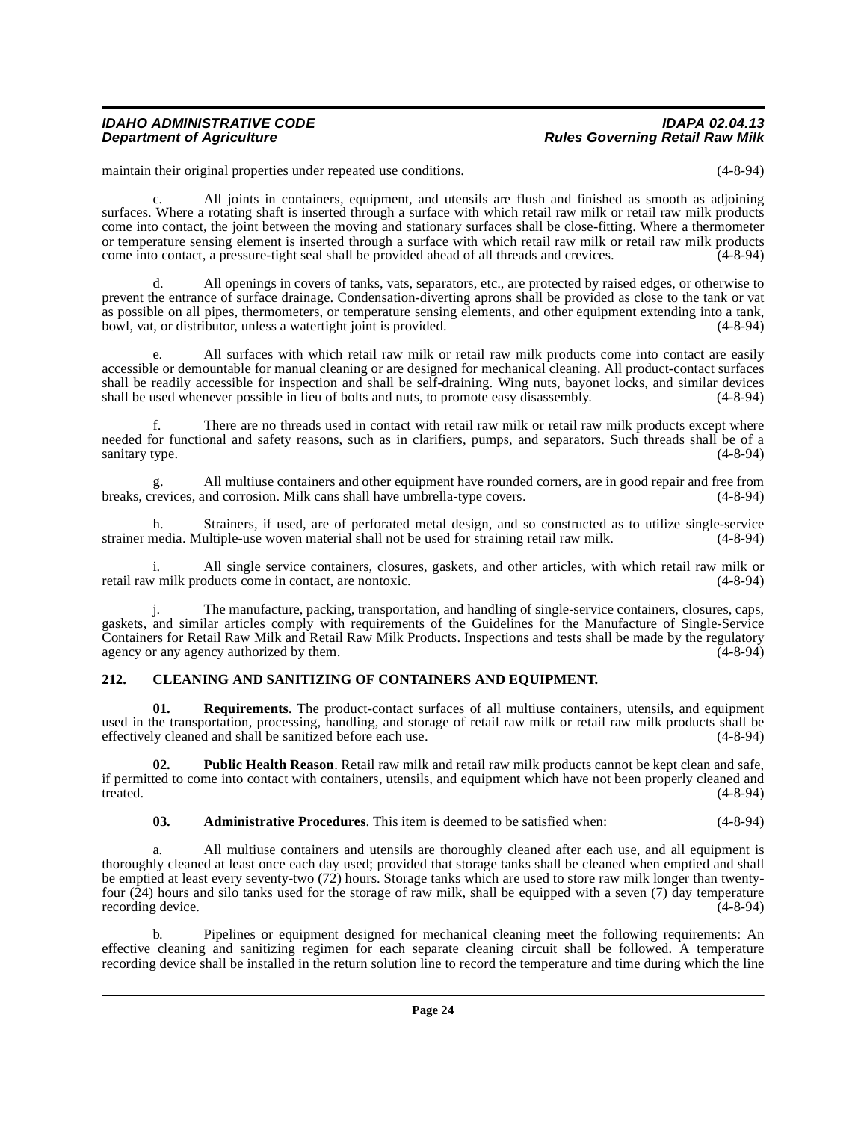maintain their original properties under repeated use conditions. (4-8-94)

All joints in containers, equipment, and utensils are flush and finished as smooth as adjoining surfaces. Where a rotating shaft is inserted through a surface with which retail raw milk or retail raw milk products come into contact, the joint between the moving and stationary surfaces shall be close-fitting. Where a thermometer or temperature sensing element is inserted through a surface with which retail raw milk or retail raw milk products<br>come into contact a pressure-tight seal shall be provided ahead of all threads and crevices (4-8-94) come into contact, a pressure-tight seal shall be provided ahead of all threads and crevices.

d. All openings in covers of tanks, vats, separators, etc., are protected by raised edges, or otherwise to prevent the entrance of surface drainage. Condensation-diverting aprons shall be provided as close to the tank or vat as possible on all pipes, thermometers, or temperature sensing elements, and other equipment extending into a tank, bowl, vat, or distributor, unless a watertight joint is provided. (4-8-94) bowl, vat, or distributor, unless a watertight joint is provided.

All surfaces with which retail raw milk or retail raw milk products come into contact are easily accessible or demountable for manual cleaning or are designed for mechanical cleaning. All product-contact surfaces shall be readily accessible for inspection and shall be self-draining. Wing nuts, bayonet locks, and similar devices shall be used whenever possible in lieu of bolts and nuts, to promote easy disassembly. (4-8-94) shall be used whenever possible in lieu of bolts and nuts, to promote easy disassembly.

There are no threads used in contact with retail raw milk or retail raw milk products except where needed for functional and safety reasons, such as in clarifiers, pumps, and separators. Such threads shall be of a sanitary type. (4-8-94) sanitary type. (4-8-94)

g. All multiuse containers and other equipment have rounded corners, are in good repair and free from breaks, crevices, and corrosion. Milk cans shall have umbrella-type covers. (4-8-94)

h. Strainers, if used, are of perforated metal design, and so constructed as to utilize single-service media. Multiple-use woven material shall not be used for straining retail raw milk. (4-8-94) strainer media. Multiple-use woven material shall not be used for straining retail raw milk.

i. All single service containers, closures, gaskets, and other articles, with which retail raw milk or  $\mu$  milk products come in contact, are nontoxic. retail raw milk products come in contact, are nontoxic.

j. The manufacture, packing, transportation, and handling of single-service containers, closures, caps, gaskets, and similar articles comply with requirements of the Guidelines for the Manufacture of Single-Service Containers for Retail Raw Milk and Retail Raw Milk Products. Inspections and tests shall be made by the regulatory agency or any agency authorized by them.

#### <span id="page-23-1"></span><span id="page-23-0"></span>**212. CLEANING AND SANITIZING OF CONTAINERS AND EQUIPMENT.**

**01. Requirements**. The product-contact surfaces of all multiuse containers, utensils, and equipment used in the transportation, processing, handling, and storage of retail raw milk or retail raw milk products shall be effectively cleaned and shall be sanitized before each use. (4-8-94)

**02. Public Health Reason**. Retail raw milk and retail raw milk products cannot be kept clean and safe, if permitted to come into contact with containers, utensils, and equipment which have not been properly cleaned and treated. (4-8-94) treated.  $(4-8-94)$ 

**03. Administrative Procedures**. This item is deemed to be satisfied when: (4-8-94)

All multiuse containers and utensils are thoroughly cleaned after each use, and all equipment is thoroughly cleaned at least once each day used; provided that storage tanks shall be cleaned when emptied and shall be emptied at least every seventy-two (72) hours. Storage tanks which are used to store raw milk longer than twentyfour (24) hours and silo tanks used for the storage of raw milk, shall be equipped with a seven (7) day temperature recording device. (4-8-94)

b. Pipelines or equipment designed for mechanical cleaning meet the following requirements: An effective cleaning and sanitizing regimen for each separate cleaning circuit shall be followed. A temperature recording device shall be installed in the return solution line to record the temperature and time during which the line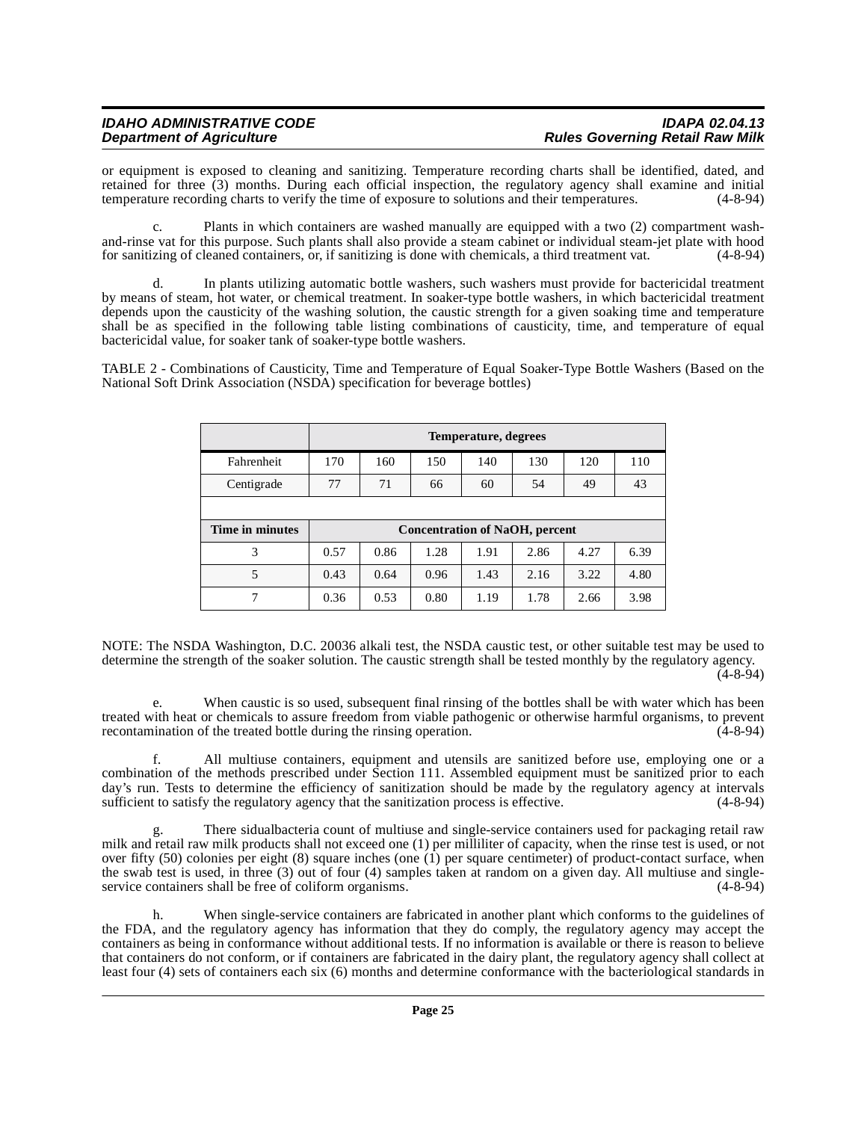| <b>IDAHO ADMINISTRATIVE CODE</b> | <b>IDAPA 02.04.13</b>                  |
|----------------------------------|----------------------------------------|
| <b>Department of Agriculture</b> | <b>Rules Governing Retail Raw Milk</b> |

or equipment is exposed to cleaning and sanitizing. Temperature recording charts shall be identified, dated, and retained for three (3) months. During each official inspection, the regulatory agency shall examine and initial temperature recording charts to verify the time of exposure to solutions and their temperatures. (4-8-94)

c. Plants in which containers are washed manually are equipped with a two (2) compartment washand-rinse vat for this purpose. Such plants shall also provide a steam cabinet or individual steam-jet plate with hood<br>for sanitizing of cleaned containers or if sanitizing is done with chemicals a third treatment vat for sanitizing of cleaned containers, or, if sanitizing is done with chemicals, a third treatment vat.

d. In plants utilizing automatic bottle washers, such washers must provide for bactericidal treatment by means of steam, hot water, or chemical treatment. In soaker-type bottle washers, in which bactericidal treatment depends upon the causticity of the washing solution, the caustic strength for a given soaking time and temperature shall be as specified in the following table listing combinations of causticity, time, and temperature of equal bactericidal value, for soaker tank of soaker-type bottle washers.

TABLE 2 - Combinations of Causticity, Time and Temperature of Equal Soaker-Type Bottle Washers (Based on the National Soft Drink Association (NSDA) specification for beverage bottles)

|                 | <b>Temperature, degrees</b> |      |                                       |      |      |      |      |
|-----------------|-----------------------------|------|---------------------------------------|------|------|------|------|
| Fahrenheit      | 170                         | 160  | 150                                   | 140  | 130  | 120  | 110  |
| Centigrade      | 77                          | 71   | 66                                    | 60   | 54   | 49   | 43   |
|                 |                             |      |                                       |      |      |      |      |
|                 |                             |      |                                       |      |      |      |      |
| Time in minutes |                             |      | <b>Concentration of NaOH, percent</b> |      |      |      |      |
| 3               | 0.57                        | 0.86 | 1.28                                  | 1.91 | 2.86 | 4.27 | 6.39 |
| 5               | 0.43                        | 0.64 | 0.96                                  | 1.43 | 2.16 | 3.22 | 4.80 |

NOTE: The NSDA Washington, D.C. 20036 alkali test, the NSDA caustic test, or other suitable test may be used to determine the strength of the soaker solution. The caustic strength shall be tested monthly by the regulatory agency.

(4-8-94)

e. When caustic is so used, subsequent final rinsing of the bottles shall be with water which has been treated with heat or chemicals to assure freedom from viable pathogenic or otherwise harmful organisms, to prevent recontamination of the treated bottle during the rinsing operation. (4-8-94)

f. All multiuse containers, equipment and utensils are sanitized before use, employing one or a combination of the methods prescribed under Section 111. Assembled equipment must be sanitized prior to each day's run. Tests to determine the efficiency of sanitization should be made by the regulatory agency at intervals sufficient to satisfy the regulatory agency that the sanitization process is effective. (4-8-94)

There sidualbacteria count of multiuse and single-service containers used for packaging retail raw milk and retail raw milk products shall not exceed one (1) per milliliter of capacity, when the rinse test is used, or not over fifty (50) colonies per eight (8) square inches (one  $(1)$  per square centimeter) of product-contact surface, when the swab test is used, in three (3) out of four (4) samples taken at random on a given day. All multiuse and single-<br>service containers shall be free of coliform organisms. service containers shall be free of coliform organisms.

h. When single-service containers are fabricated in another plant which conforms to the guidelines of the FDA, and the regulatory agency has information that they do comply, the regulatory agency may accept the containers as being in conformance without additional tests. If no information is available or there is reason to believe that containers do not conform, or if containers are fabricated in the dairy plant, the regulatory agency shall collect at least four (4) sets of containers each six (6) months and determine conformance with the bacteriological standards in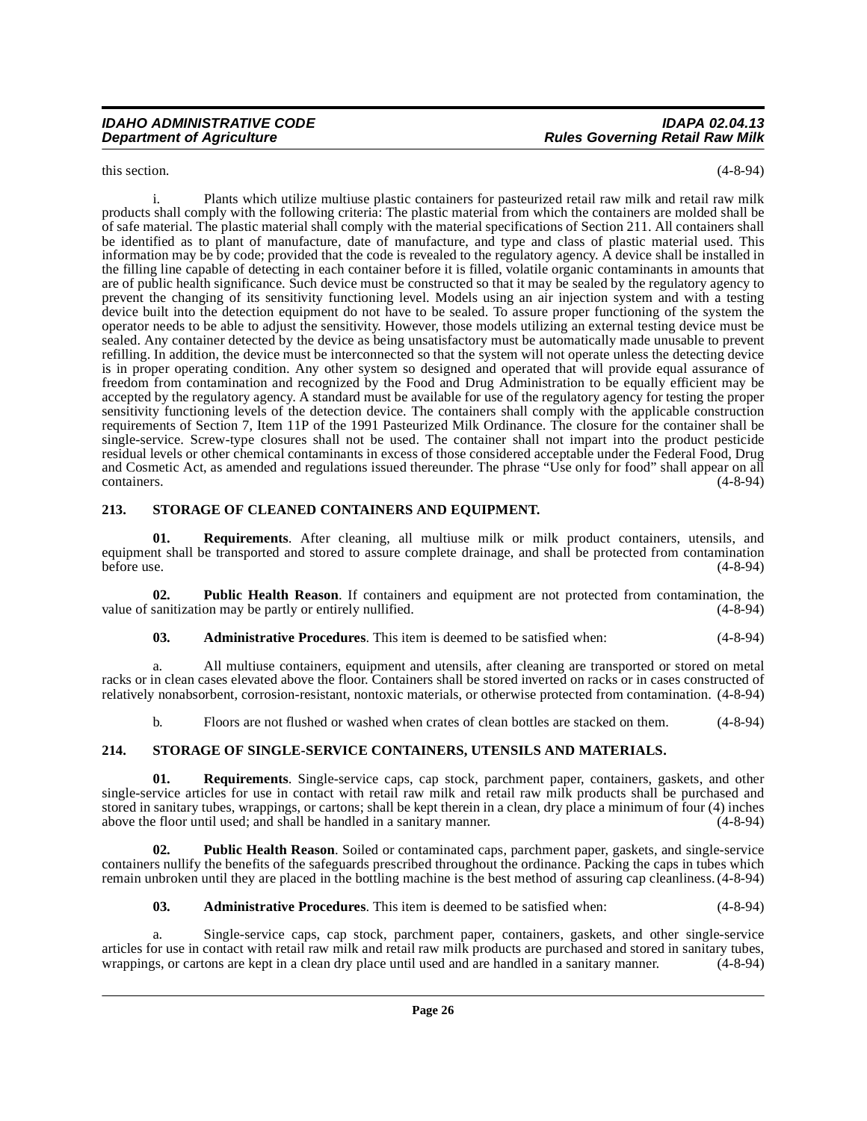this section.  $(4-8-94)$ 

i. Plants which utilize multiuse plastic containers for pasteurized retail raw milk and retail raw milk products shall comply with the following criteria: The plastic material from which the containers are molded shall be of safe material. The plastic material shall comply with the material specifications of Section 211. All containers shall be identified as to plant of manufacture, date of manufacture, and type and class of plastic material used. This information may be by code; provided that the code is revealed to the regulatory agency. A device shall be installed in the filling line capable of detecting in each container before it is filled, volatile organic contaminants in amounts that are of public health significance. Such device must be constructed so that it may be sealed by the regulatory agency to prevent the changing of its sensitivity functioning level. Models using an air injection system and with a testing device built into the detection equipment do not have to be sealed. To assure proper functioning of the system the operator needs to be able to adjust the sensitivity. However, those models utilizing an external testing device must be sealed. Any container detected by the device as being unsatisfactory must be automatically made unusable to prevent refilling. In addition, the device must be interconnected so that the system will not operate unless the detecting device is in proper operating condition. Any other system so designed and operated that will provide equal assurance of freedom from contamination and recognized by the Food and Drug Administration to be equally efficient may be accepted by the regulatory agency. A standard must be available for use of the regulatory agency for testing the proper sensitivity functioning levels of the detection device. The containers shall comply with the applicable construction requirements of Section 7, Item 11P of the 1991 Pasteurized Milk Ordinance. The closure for the container shall be single-service. Screw-type closures shall not be used. The container shall not impart into the product pesticide residual levels or other chemical contaminants in excess of those considered acceptable under the Federal Food, Drug and Cosmetic Act, as amended and regulations issued thereunder. The phrase "Use only for food" shall appear on all containers. (4-8-94)

#### <span id="page-25-2"></span><span id="page-25-0"></span>**213. STORAGE OF CLEANED CONTAINERS AND EQUIPMENT.**

**01. Requirements**. After cleaning, all multiuse milk or milk product containers, utensils, and equipment shall be transported and stored to assure complete drainage, and shall be protected from contamination before use. (4-8-94) before use.  $(4-8-94)$ 

**02. Public Health Reason**. If containers and equipment are not protected from contamination, the value of sanitization may be partly or entirely nullified. (4-8-94)

#### **03. Administrative Procedures**. This item is deemed to be satisfied when: (4-8-94)

a. All multiuse containers, equipment and utensils, after cleaning are transported or stored on metal racks or in clean cases elevated above the floor. Containers shall be stored inverted on racks or in cases constructed of relatively nonabsorbent, corrosion-resistant, nontoxic materials, or otherwise protected from contamination. (4-8-94)

<span id="page-25-3"></span>b. Floors are not flushed or washed when crates of clean bottles are stacked on them. (4-8-94)

#### <span id="page-25-1"></span>**214. STORAGE OF SINGLE-SERVICE CONTAINERS, UTENSILS AND MATERIALS.**

**01. Requirements**. Single-service caps, cap stock, parchment paper, containers, gaskets, and other single-service articles for use in contact with retail raw milk and retail raw milk products shall be purchased and stored in sanitary tubes, wrappings, or cartons; shall be kept therein in a clean, dry place a minimum of four (4) inches above the floor until used; and shall be handled in a sanitary manner. (4-8-94)

**02. Public Health Reason**. Soiled or contaminated caps, parchment paper, gaskets, and single-service containers nullify the benefits of the safeguards prescribed throughout the ordinance. Packing the caps in tubes which remain unbroken until they are placed in the bottling machine is the best method of assuring cap cleanliness. (4-8-94)

**03. Administrative Procedures**. This item is deemed to be satisfied when: (4-8-94)

a. Single-service caps, cap stock, parchment paper, containers, gaskets, and other single-service articles for use in contact with retail raw milk and retail raw milk products are purchased and stored in sanitary tubes, wrappings, or cartons are kept in a clean dry place until used and are handled in a sanitary manner. wrappings, or cartons are kept in a clean dry place until used and are handled in a sanitary manner.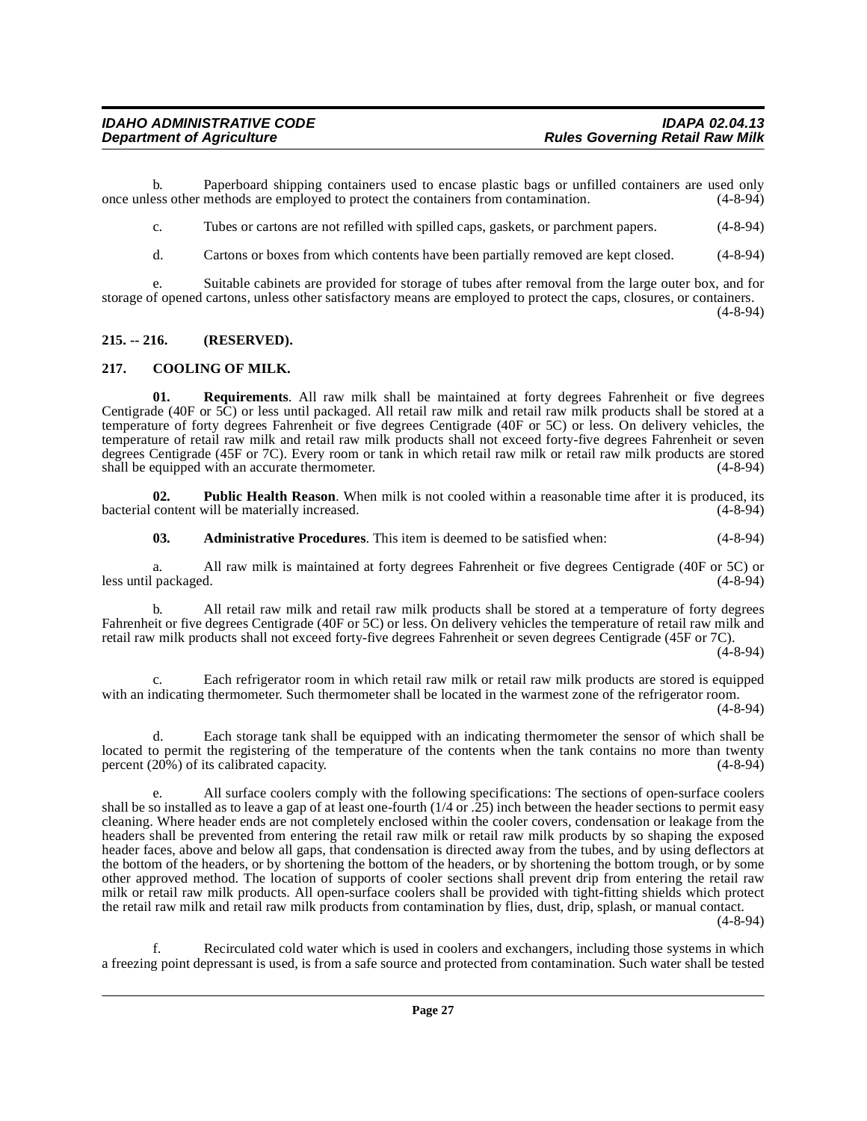b. Paperboard shipping containers used to encase plastic bags or unfilled containers are used only ess other methods are employed to protect the containers from contamination. (4-8-94) once unless other methods are employed to protect the containers from contamination.

c. Tubes or cartons are not refilled with spilled caps, gaskets, or parchment papers. (4-8-94)

d. Cartons or boxes from which contents have been partially removed are kept closed. (4-8-94)

e. Suitable cabinets are provided for storage of tubes after removal from the large outer box, and for storage of opened cartons, unless other satisfactory means are employed to protect the caps, closures, or containers.

(4-8-94)

#### <span id="page-26-0"></span>**215. -- 216. (RESERVED).**

#### <span id="page-26-2"></span><span id="page-26-1"></span>**217. COOLING OF MILK.**

**01. Requirements**. All raw milk shall be maintained at forty degrees Fahrenheit or five degrees Centigrade (40F or 5C) or less until packaged. All retail raw milk and retail raw milk products shall be stored at a temperature of forty degrees Fahrenheit or five degrees Centigrade (40F or 5C) or less. On delivery vehicles, the temperature of retail raw milk and retail raw milk products shall not exceed forty-five degrees Fahrenheit or seven degrees Centigrade (45F or 7C). Every room or tank in which retail raw milk or retail raw milk products are stored shall be equipped with an accurate thermometer. (4-8-94) shall be equipped with an accurate thermometer.

**02. Public Health Reason**. When milk is not cooled within a reasonable time after it is produced, its bacterial content will be materially increased. (4-8-94)

**03. Administrative Procedures**. This item is deemed to be satisfied when: (4-8-94)

a. All raw milk is maintained at forty degrees Fahrenheit or five degrees Centigrade (40F or 5C) or less until packaged.

b. All retail raw milk and retail raw milk products shall be stored at a temperature of forty degrees Fahrenheit or five degrees Centigrade (40F or 5C) or less. On delivery vehicles the temperature of retail raw milk and retail raw milk products shall not exceed forty-five degrees Fahrenheit or seven degrees Centigrade (45F or 7C).

 $(4 - 8 - 94)$ 

c. Each refrigerator room in which retail raw milk or retail raw milk products are stored is equipped with an indicating thermometer. Such thermometer shall be located in the warmest zone of the refrigerator room.

(4-8-94)

d. Each storage tank shall be equipped with an indicating thermometer the sensor of which shall be located to permit the registering of the temperature of the contents when the tank contains no more than twenty percent  $(20\%)$  of its calibrated capacity. (4-8-94)

e. All surface coolers comply with the following specifications: The sections of open-surface coolers shall be so installed as to leave a gap of at least one-fourth (1/4 or .25) inch between the header sections to permit easy cleaning. Where header ends are not completely enclosed within the cooler covers, condensation or leakage from the headers shall be prevented from entering the retail raw milk or retail raw milk products by so shaping the exposed header faces, above and below all gaps, that condensation is directed away from the tubes, and by using deflectors at the bottom of the headers, or by shortening the bottom of the headers, or by shortening the bottom trough, or by some other approved method. The location of supports of cooler sections shall prevent drip from entering the retail raw milk or retail raw milk products. All open-surface coolers shall be provided with tight-fitting shields which protect the retail raw milk and retail raw milk products from contamination by flies, dust, drip, splash, or manual contact.

(4-8-94)

f. Recirculated cold water which is used in coolers and exchangers, including those systems in which a freezing point depressant is used, is from a safe source and protected from contamination. Such water shall be tested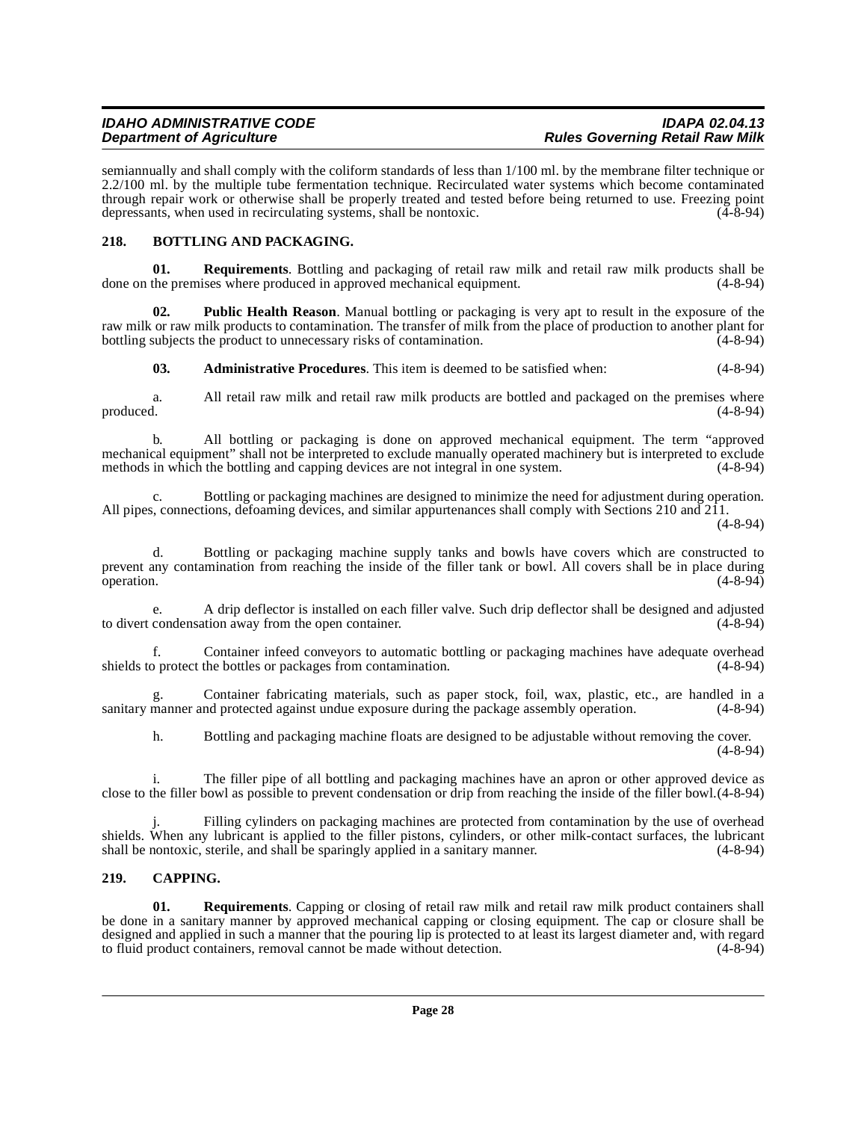semiannually and shall comply with the coliform standards of less than 1/100 ml. by the membrane filter technique or 2.2/100 ml. by the multiple tube fermentation technique. Recirculated water systems which become contaminated through repair work or otherwise shall be properly treated and tested before being returned to use. Freezing point depressants, when used in recirculating systems, shall be nontoxic.  $(4-8-94)$ 

#### <span id="page-27-2"></span><span id="page-27-0"></span>**218. BOTTLING AND PACKAGING.**

**01. Requirements**. Bottling and packaging of retail raw milk and retail raw milk products shall be the premises where produced in approved mechanical equipment. (4-8-94) done on the premises where produced in approved mechanical equipment.

**02. Public Health Reason**. Manual bottling or packaging is very apt to result in the exposure of the raw milk or raw milk products to contamination. The transfer of milk from the place of production to another plant for bottling subjects the product to unnecessary risks of contamination. bottling subjects the product to unnecessary risks of contamination.

**03. Administrative Procedures**. This item is deemed to be satisfied when: (4-8-94)

a. All retail raw milk and retail raw milk products are bottled and packaged on the premises where produced. (4-8-94) produced. (4-8-94)

b. All bottling or packaging is done on approved mechanical equipment. The term "approved mechanical equipment" shall not be interpreted to exclude manually operated machinery but is interpreted to exclude<br>methods in which the bottling and capping devices are not integral in one system. methods in which the bottling and capping devices are not integral in one system.

c. Bottling or packaging machines are designed to minimize the need for adjustment during operation. All pipes, connections, defoaming devices, and similar appurtenances shall comply with Sections 210 and 211.

(4-8-94)

d. Bottling or packaging machine supply tanks and bowls have covers which are constructed to prevent any contamination from reaching the inside of the filler tank or bowl. All covers shall be in place during operation. (4-8-94) operation. (4-8-94)

e. A drip deflector is installed on each filler valve. Such drip deflector shall be designed and adjusted to divert condensation away from the open container.

f. Container infeed conveyors to automatic bottling or packaging machines have adequate overhead shields to protect the bottles or packages from contamination.

g. Container fabricating materials, such as paper stock, foil, wax, plastic, etc., are handled in a sanitary manner and protected against undue exposure during the package assembly operation.

h. Bottling and packaging machine floats are designed to be adjustable without removing the cover. (4-8-94)

i. The filler pipe of all bottling and packaging machines have an apron or other approved device as close to the filler bowl as possible to prevent condensation or drip from reaching the inside of the filler bowl.(4-8-94)

Filling cylinders on packaging machines are protected from contamination by the use of overhead shields. When any lubricant is applied to the filler pistons, cylinders, or other milk-contact surfaces, the lubricant shall be nontoxic, sterile, and shall be sparingly applied in a sanitary manner. (4-8-94) shall be nontoxic, sterile, and shall be sparingly applied in a sanitary manner.

#### <span id="page-27-3"></span><span id="page-27-1"></span>**219. CAPPING.**

**01. Requirements**. Capping or closing of retail raw milk and retail raw milk product containers shall be done in a sanitary manner by approved mechanical capping or closing equipment. The cap or closure shall be designed and applied in such a manner that the pouring lip is protected to at least its largest diameter and, with regard to fluid product containers, removal cannot be made without detection. (4-8-94) to fluid product containers, removal cannot be made without detection.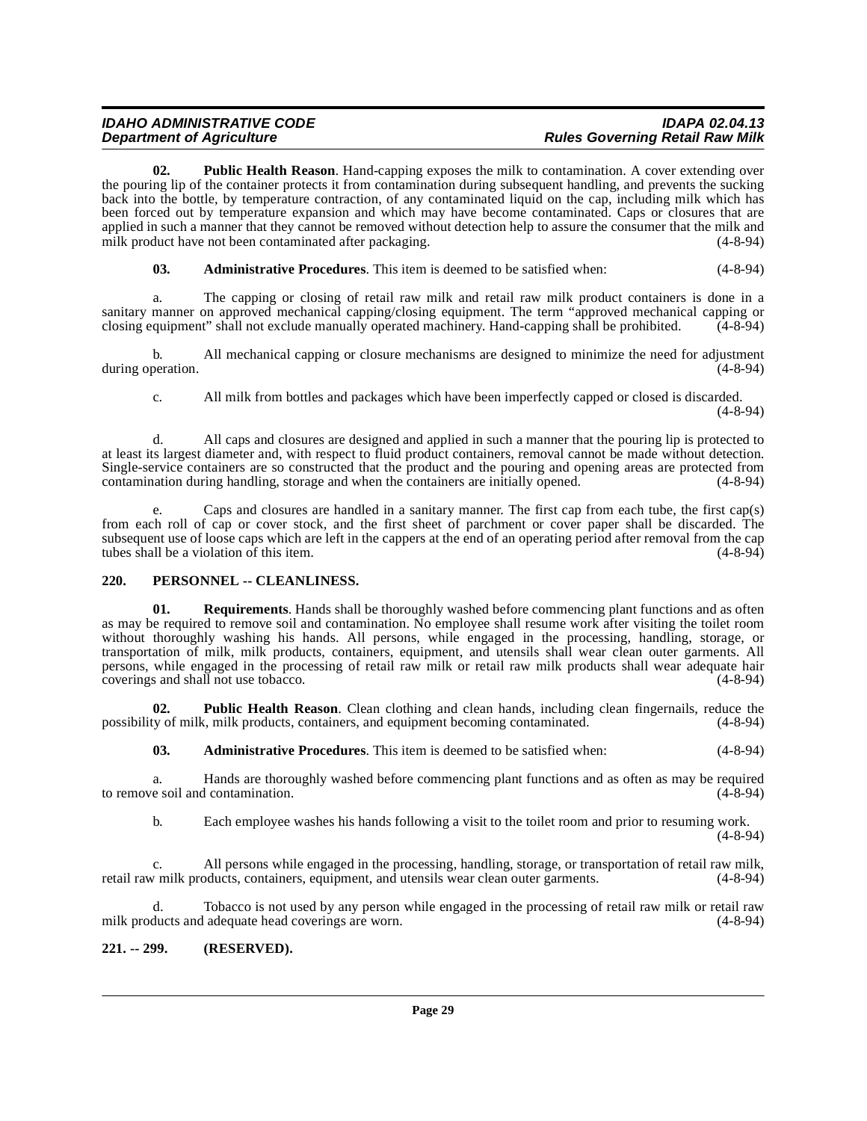**02.** Public Health Reason. Hand-capping exposes the milk to contamination. A cover extending over the pouring lip of the container protects it from contamination during subsequent handling, and prevents the sucking back into the bottle, by temperature contraction, of any contaminated liquid on the cap, including milk which has been forced out by temperature expansion and which may have become contaminated. Caps or closures that are applied in such a manner that they cannot be removed without detection help to assure the consumer that the milk and milk product have not been contaminated after packaging. (4-8-94)

**03. Administrative Procedures**. This item is deemed to be satisfied when: (4-8-94)

a. The capping or closing of retail raw milk and retail raw milk product containers is done in a sanitary manner on approved mechanical capping/closing equipment. The term "approved mechanical capping or closing equipment" shall not exclude manually operated machinery. Hand-capping shall be prohibited. (4-8-94) closing equipment" shall not exclude manually operated machinery. Hand-capping shall be prohibited.

b. All mechanical capping or closure mechanisms are designed to minimize the need for adjustment during operation. (4-8-94)

c. All milk from bottles and packages which have been imperfectly capped or closed is discarded. (4-8-94)

d. All caps and closures are designed and applied in such a manner that the pouring lip is protected to at least its largest diameter and, with respect to fluid product containers, removal cannot be made without detection. Single-service containers are so constructed that the product and the pouring and opening areas are protected from contamination during handling, storage and when the containers are initially opened. (4-8-94) contamination during handling, storage and when the containers are initially opened.

e. Caps and closures are handled in a sanitary manner. The first cap from each tube, the first cap(s) from each roll of cap or cover stock, and the first sheet of parchment or cover paper shall be discarded. The subsequent use of loose caps which are left in the cappers at the end of an operating period after removal from the cap<br>tubes shall be a violation of this item. tubes shall be a violation of this item.

#### <span id="page-28-2"></span><span id="page-28-0"></span>**220. PERSONNEL -- CLEANLINESS.**

**01. Requirements**. Hands shall be thoroughly washed before commencing plant functions and as often as may be required to remove soil and contamination. No employee shall resume work after visiting the toilet room without thoroughly washing his hands. All persons, while engaged in the processing, handling, storage, or transportation of milk, milk products, containers, equipment, and utensils shall wear clean outer garments. All persons, while engaged in the processing of retail raw milk or retail raw milk products shall wear adequate hair coverings and shall not use tobacco. (4-8-94)

**02. Public Health Reason**. Clean clothing and clean hands, including clean fingernails, reduce the ty of milk, milk products, containers, and equipment becoming contaminated. (4-8-94) possibility of milk, milk products, containers, and equipment becoming contaminated.

**03. Administrative Procedures**. This item is deemed to be satisfied when: (4-8-94)

a. Hands are thoroughly washed before commencing plant functions and as often as may be required to remove soil and contamination.

b. Each employee washes his hands following a visit to the toilet room and prior to resuming work. (4-8-94)

c. All persons while engaged in the processing, handling, storage, or transportation of retail raw milk,  $v$  milk products, containers, equipment, and utensils wear clean outer garments. (4-8-94) retail raw milk products, containers, equipment, and utensils wear clean outer garments.

d. Tobacco is not used by any person while engaged in the processing of retail raw milk or retail raw milk products and adequate head coverings are worn.

<span id="page-28-1"></span>**221. -- 299. (RESERVED).**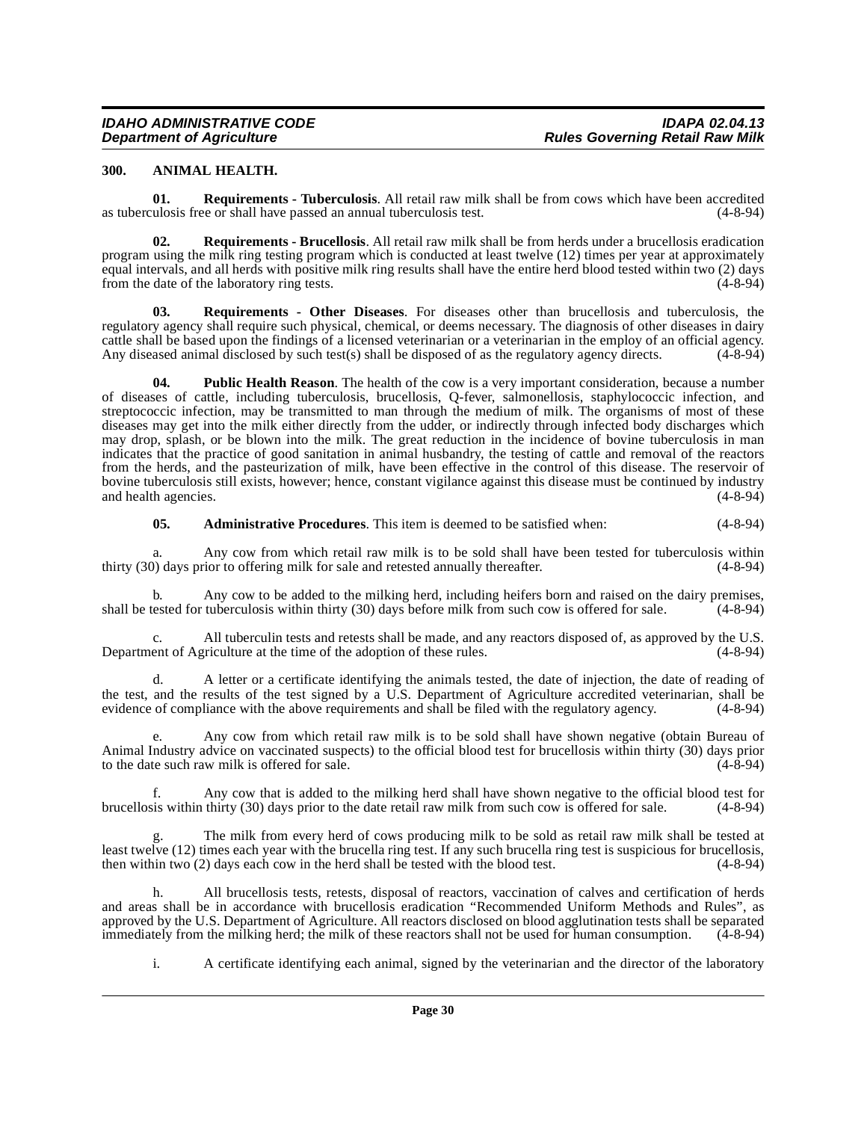#### <span id="page-29-1"></span><span id="page-29-0"></span>**300. ANIMAL HEALTH.**

<span id="page-29-4"></span>**01. Requirements - Tuberculosis**. All retail raw milk shall be from cows which have been accredited valosis free or shall have passed an annual tuberculosis test. as tuberculosis free or shall have passed an annual tuberculosis test.

<span id="page-29-2"></span>**02. Requirements - Brucellosis**. All retail raw milk shall be from herds under a brucellosis eradication program using the milk ring testing program which is conducted at least twelve (12) times per year at approximately equal intervals, and all herds with positive milk ring results shall have the entire herd blood tested within two (2) days from the date of the laboratory ring tests. from the date of the laboratory ring tests.

<span id="page-29-3"></span>**03. Requirements - Other Diseases**. For diseases other than brucellosis and tuberculosis, the regulatory agency shall require such physical, chemical, or deems necessary. The diagnosis of other diseases in dairy cattle shall be based upon the findings of a licensed veterinarian or a veterinarian in the employ of an official agency. Any diseased animal disclosed by such test(s) shall be disposed of as the regulatory agency directs. (4-8-94)

**04. Public Health Reason**. The health of the cow is a very important consideration, because a number of diseases of cattle, including tuberculosis, brucellosis, Q-fever, salmonellosis, staphylococcic infection, and streptococcic infection, may be transmitted to man through the medium of milk. The organisms of most of these diseases may get into the milk either directly from the udder, or indirectly through infected body discharges which may drop, splash, or be blown into the milk. The great reduction in the incidence of bovine tuberculosis in man indicates that the practice of good sanitation in animal husbandry, the testing of cattle and removal of the reactors from the herds, and the pasteurization of milk, have been effective in the control of this disease. The reservoir of bovine tuberculosis still exists, however; hence, constant vigilance against this disease must be continued by industry and health agencies.

**05. Administrative Procedures**. This item is deemed to be satisfied when: (4-8-94)

a. Any cow from which retail raw milk is to be sold shall have been tested for tuberculosis within (a)) days prior to offering milk for sale and retested annually thereafter. thirty  $(30)$  days prior to offering milk for sale and retested annually thereafter.

b. Any cow to be added to the milking herd, including heifers born and raised on the dairy premises, shall be tested for tuberculosis within thirty (30) days before milk from such cow is offered for sale. (4-8-94)

c. All tuberculin tests and retests shall be made, and any reactors disposed of, as approved by the U.S. ent of Agriculture at the time of the adoption of these rules. (4-8-94) Department of Agriculture at the time of the adoption of these rules.

d. A letter or a certificate identifying the animals tested, the date of injection, the date of reading of the test, and the results of the test signed by a U.S. Department of Agriculture accredited veterinarian, shall be evidence of compliance with the above requirements and shall be filed with the regulatory agency. (4-8-94)

e. Any cow from which retail raw milk is to be sold shall have shown negative (obtain Bureau of Animal Industry advice on vaccinated suspects) to the official blood test for brucellosis within thirty (30) days prior to the date such raw milk is offered for sale.  $(4-8-94)$ 

f. Any cow that is added to the milking herd shall have shown negative to the official blood test for brucellosis within thirty (30) days prior to the date retail raw milk from such cow is offered for sale.

The milk from every herd of cows producing milk to be sold as retail raw milk shall be tested at least twelve (12) times each year with the brucella ring test. If any such brucella ring test is suspicious for brucellosis, then within two (2) days each cow in the herd shall be tested with the blood test. (4-8-94) then within two  $(2)$  days each cow in the herd shall be tested with the blood test.

h. All brucellosis tests, retests, disposal of reactors, vaccination of calves and certification of herds and areas shall be in accordance with brucellosis eradication "Recommended Uniform Methods and Rules", as approved by the U.S. Department of Agriculture. All reactors disclosed on blood agglutination tests shall be separated immediately from the milking herd: the milk of these reactors shall not be used for human consumption. immediately from the milking herd; the milk of these reactors shall not be used for human consumption.

i. A certificate identifying each animal, signed by the veterinarian and the director of the laboratory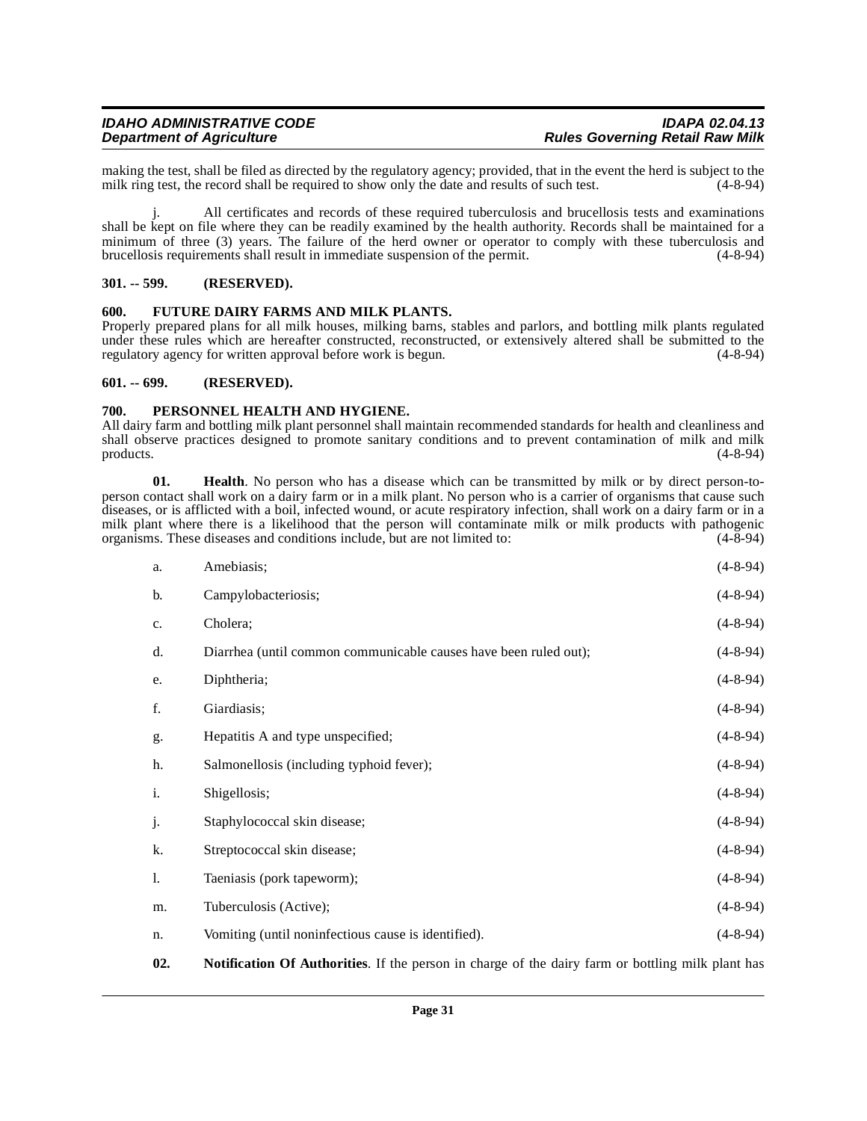making the test, shall be filed as directed by the regulatory agency; provided, that in the event the herd is subject to the milk ring test, the record shall be required to show only the date and results of such test. milk ring test, the record shall be required to show only the date and results of such test.

All certificates and records of these required tuberculosis and brucellosis tests and examinations shall be kept on file where they can be readily examined by the health authority. Records shall be maintained for a minimum of three (3) years. The failure of the herd owner or operator to comply with these tuberculosis and brucellosis requirements shall result in immediate suspension of the permit. (4-8-94) brucellosis requirements shall result in immediate suspension of the permit.

#### <span id="page-30-0"></span>**301. -- 599. (RESERVED).**

#### <span id="page-30-4"></span><span id="page-30-1"></span>**600. FUTURE DAIRY FARMS AND MILK PLANTS.**

Properly prepared plans for all milk houses, milking barns, stables and parlors, and bottling milk plants regulated under these rules which are hereafter constructed, reconstructed, or extensively altered shall be submitted to the regulatory agency for written approval before work is begun. (4-8-94)

#### <span id="page-30-2"></span>**601. -- 699. (RESERVED).**

#### <span id="page-30-7"></span><span id="page-30-3"></span>**700. PERSONNEL HEALTH AND HYGIENE.**

All dairy farm and bottling milk plant personnel shall maintain recommended standards for health and cleanliness and shall observe practices designed to promote sanitary conditions and to prevent contamination of milk and milk<br>products. (4-8-94)  $p_{\text{p}}$  products.  $(4-8-94)$ 

<span id="page-30-5"></span>**01. Health**. No person who has a disease which can be transmitted by milk or by direct person-toperson contact shall work on a dairy farm or in a milk plant. No person who is a carrier of organisms that cause such diseases, or is afflicted with a boil, infected wound, or acute respiratory infection, shall work on a dairy farm or in a milk plant where there is a likelihood that the person will contaminate milk or milk products with pathogenic organisms. These diseases and conditions include, but are not limited to: (4-8-94) organisms. These diseases and conditions include, but are not limited to:

| a. | Amebiasis;                                                       | $(4-8-94)$     |
|----|------------------------------------------------------------------|----------------|
| b. | Campylobacteriosis;                                              | $(4-8-94)$     |
| c. | Cholera;                                                         | $(4 - 8 - 94)$ |
| d. | Diarrhea (until common communicable causes have been ruled out); | $(4-8-94)$     |
| e. | Diphtheria;                                                      | $(4-8-94)$     |
| f. | Giardiasis;                                                      | $(4 - 8 - 94)$ |
| g. | Hepatitis A and type unspecified;                                | $(4-8-94)$     |
| h. | Salmonellosis (including typhoid fever);                         | $(4-8-94)$     |
| i. | Shigellosis;                                                     | $(4-8-94)$     |
| j. | Staphylococcal skin disease;                                     | $(4 - 8 - 94)$ |
| k. | Streptococcal skin disease;                                      | $(4-8-94)$     |
| 1. | Taeniasis (pork tapeworm);                                       | $(4-8-94)$     |
| m. | Tuberculosis (Active);                                           | $(4-8-94)$     |
| n. | Vomiting (until noninfectious cause is identified).              | $(4 - 8 - 94)$ |
|    |                                                                  |                |

<span id="page-30-6"></span>**02. Notification Of Authorities**. If the person in charge of the dairy farm or bottling milk plant has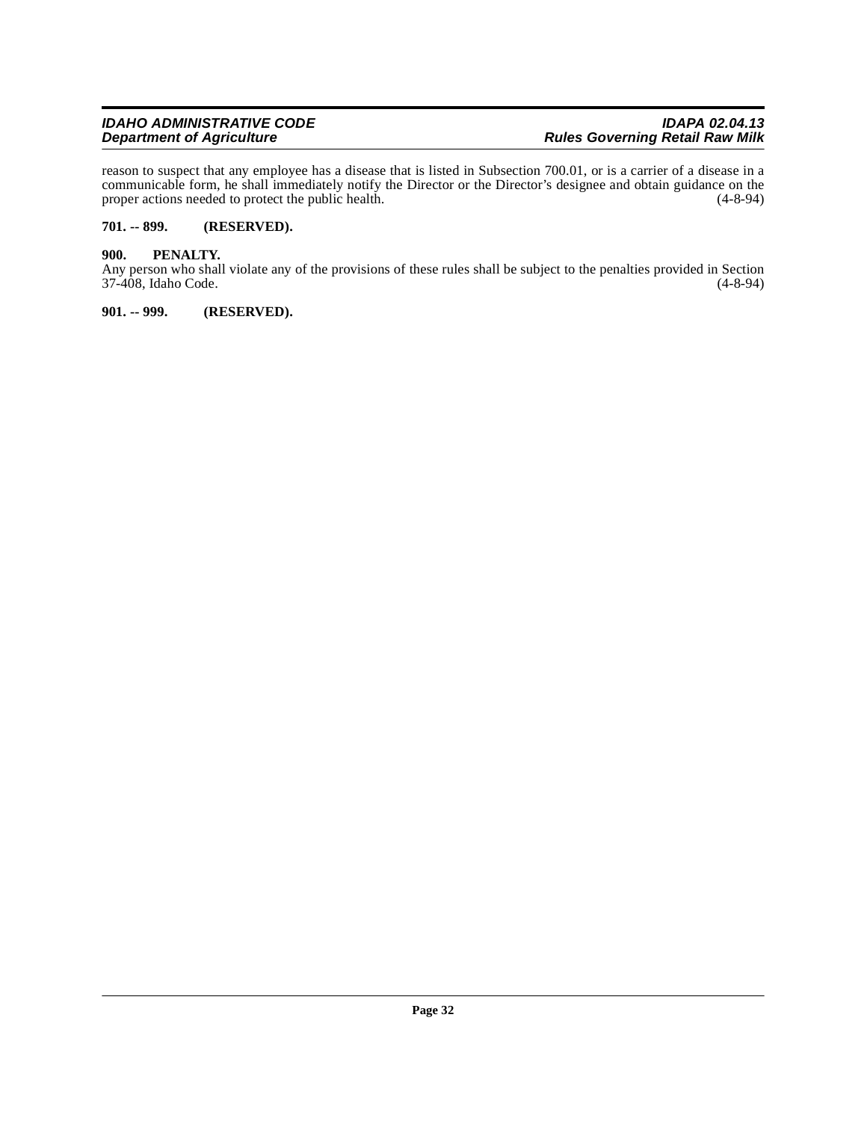reason to suspect that any employee has a disease that is listed in Subsection 700.01, or is a carrier of a disease in a communicable form, he shall immediately notify the Director or the Director's designee and obtain guidance on the proper actions needed to protect the public health. (4-8-94) proper actions needed to protect the public health.

#### <span id="page-31-0"></span>**701. -- 899. (RESERVED).**

#### <span id="page-31-1"></span>**900. PENALTY.**

Any person who shall violate any of the provisions of these rules shall be subject to the penalties provided in Section 37-408, Idaho Code. (4-8-94) 37-408, Idaho Code.

#### <span id="page-31-2"></span>**901. -- 999. (RESERVED).**